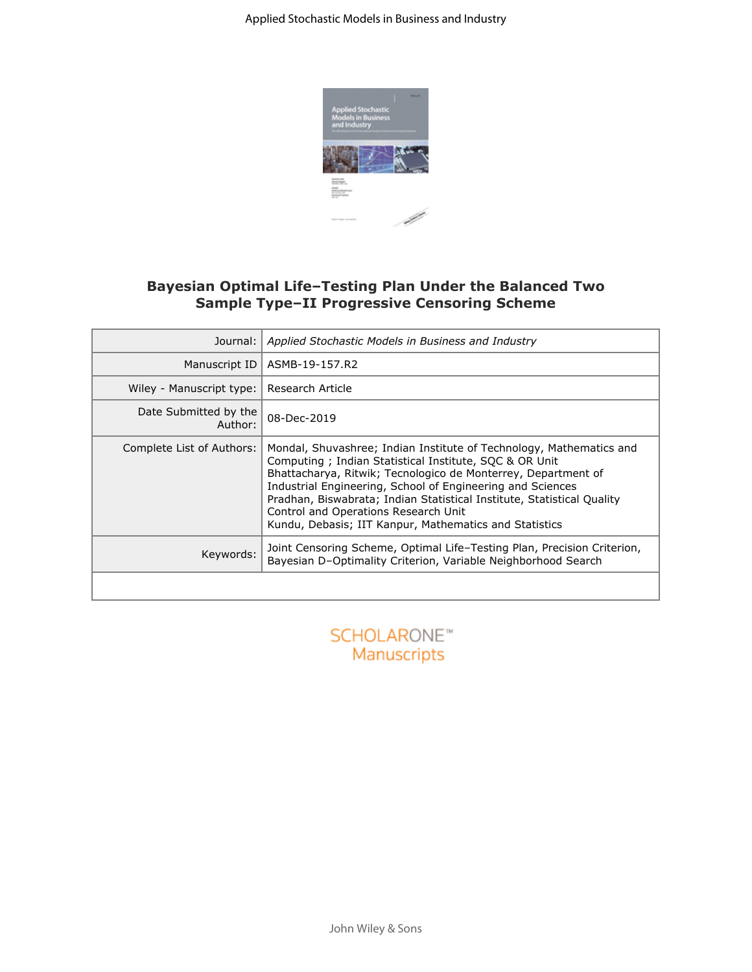

## **Bayesian Optimal Life–Testing Plan Under the Balanced Two Sample Type–II Progressive Censoring Scheme**

| Journal:                         | Applied Stochastic Models in Business and Industry                                                                                                                                                                                                                                                                                                                                                                                       |  |  |
|----------------------------------|------------------------------------------------------------------------------------------------------------------------------------------------------------------------------------------------------------------------------------------------------------------------------------------------------------------------------------------------------------------------------------------------------------------------------------------|--|--|
| Manuscript ID                    | ASMB-19-157.R2                                                                                                                                                                                                                                                                                                                                                                                                                           |  |  |
| Wiley - Manuscript type:         | Research Article                                                                                                                                                                                                                                                                                                                                                                                                                         |  |  |
| Date Submitted by the<br>Author: | 08-Dec-2019                                                                                                                                                                                                                                                                                                                                                                                                                              |  |  |
| Complete List of Authors:        | Mondal, Shuvashree; Indian Institute of Technology, Mathematics and<br>Computing; Indian Statistical Institute, SQC & OR Unit<br>Bhattacharya, Ritwik; Tecnologico de Monterrey, Department of<br>Industrial Engineering, School of Engineering and Sciences<br>Pradhan, Biswabrata; Indian Statistical Institute, Statistical Quality<br>Control and Operations Research Unit<br>Kundu, Debasis; IIT Kanpur, Mathematics and Statistics |  |  |
| Keywords:                        | Joint Censoring Scheme, Optimal Life-Testing Plan, Precision Criterion,<br>Bayesian D-Optimality Criterion, Variable Neighborhood Search                                                                                                                                                                                                                                                                                                 |  |  |
|                                  |                                                                                                                                                                                                                                                                                                                                                                                                                                          |  |  |
|                                  |                                                                                                                                                                                                                                                                                                                                                                                                                                          |  |  |

Manuscripts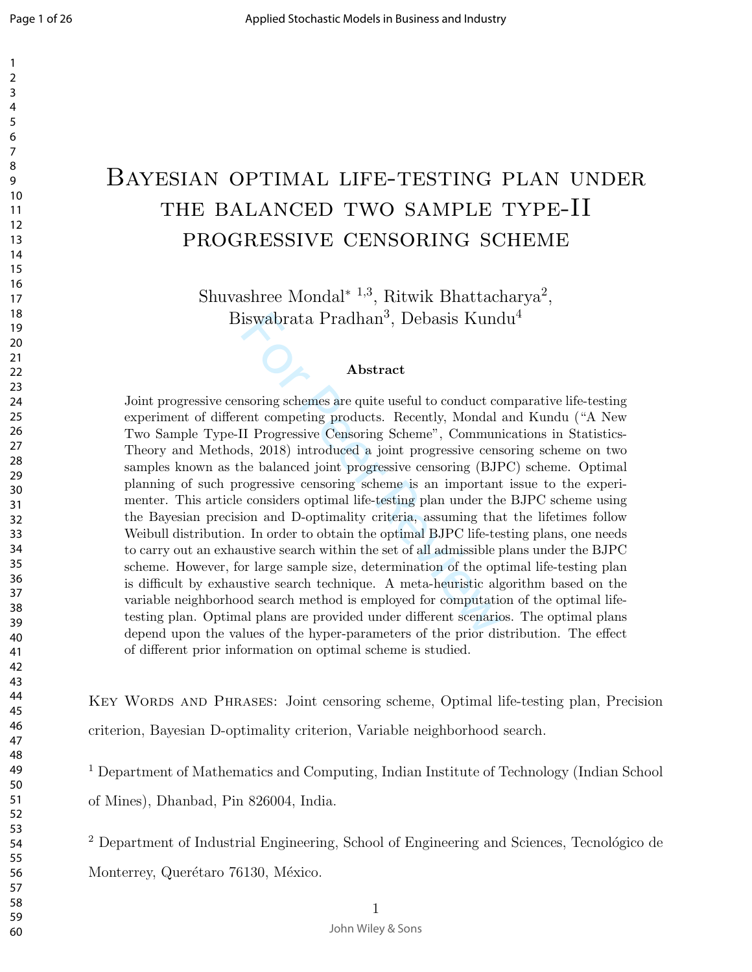# Bayesian optimal life-testing plan under THE BALANCED TWO SAMPLE TYPE-II progressive censoring scheme

Shuvashree Mondal<sup>\* 1,3</sup>, Ritwik Bhattacharya<sup>2</sup>, Biswabrata Pradhan 3 , Debasis Kundu 4

#### Abstract

iswabrata Pradhan<sup>3</sup>, Debasis Kund<br>**Abstract**<br>**Abstract**<br>**Abstract**<br>**Abstract**<br>**Abstract**<br>**Abstract**<br>**Abstract**<br>**Exercient** conduct coent competing products. Recently, Mondal i<br>II Progressive Censoring Scheme", Communi<br>is, Joint progressive censoring schemes are quite useful to conduct comparative life-testing experiment of different competing products. Recently, Mondal and Kundu ("A New Two Sample Type-II Progressive Censoring Scheme", Communications in Statistics-Theory and Methods, 2018) introduced a joint progressive censoring scheme on two samples known as the balanced joint progressive censoring (BJPC) scheme. Optimal planning of such progressive censoring scheme is an important issue to the experimenter. This article considers optimal life-testing plan under the BJPC scheme using the Bayesian precision and D-optimality criteria, assuming that the lifetimes follow Weibull distribution. In order to obtain the optimal BJPC life-testing plans, one needs to carry out an exhaustive search within the set of all admissible plans under the BJPC scheme. However, for large sample size, determination of the optimal life-testing plan is difficult by exhaustive search technique. A meta-heuristic algorithm based on the variable neighborhood search method is employed for computation of the optimal lifetesting plan. Optimal plans are provided under different scenarios. The optimal plans depend upon the values of the hyper-parameters of the prior distribution. The effect of different prior information on optimal scheme is studied.

KEY WORDS AND PHRASES: Joint censoring scheme, Optimal life-testing plan, Precision criterion, Bayesian D-optimality criterion, Variable neighborhood search.

 Department of Mathematics and Computing, Indian Institute of Technology (Indian School of Mines), Dhanbad, Pin 826004, India.

 Department of Industrial Engineering, School of Engineering and Sciences, Tecnológico de Monterrey, Querétaro 76130, México.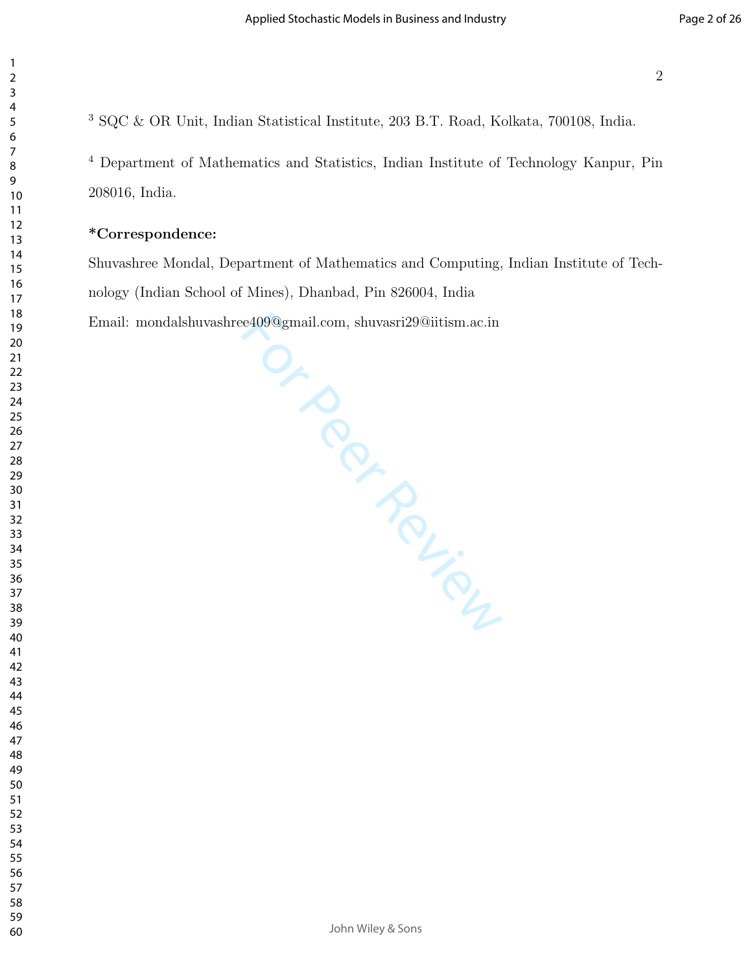SQC & OR Unit, Indian Statistical Institute, 203 B.T. Road, Kolkata, 700108, India.

 Department of Mathematics and Statistics, Indian Institute of Technology Kanpur, Pin 208016, India.

#### \*Correspondence:

Shuvashree Mondal, Department of Mathematics and Computing, Indian Institute of Technology (Indian School of Mines), Dhanbad, Pin 826004, India Email: mondalshuvashree409@gmail.com, shuvasri29@iitism.ac.in

Or Peer Review

John Wiley & Sons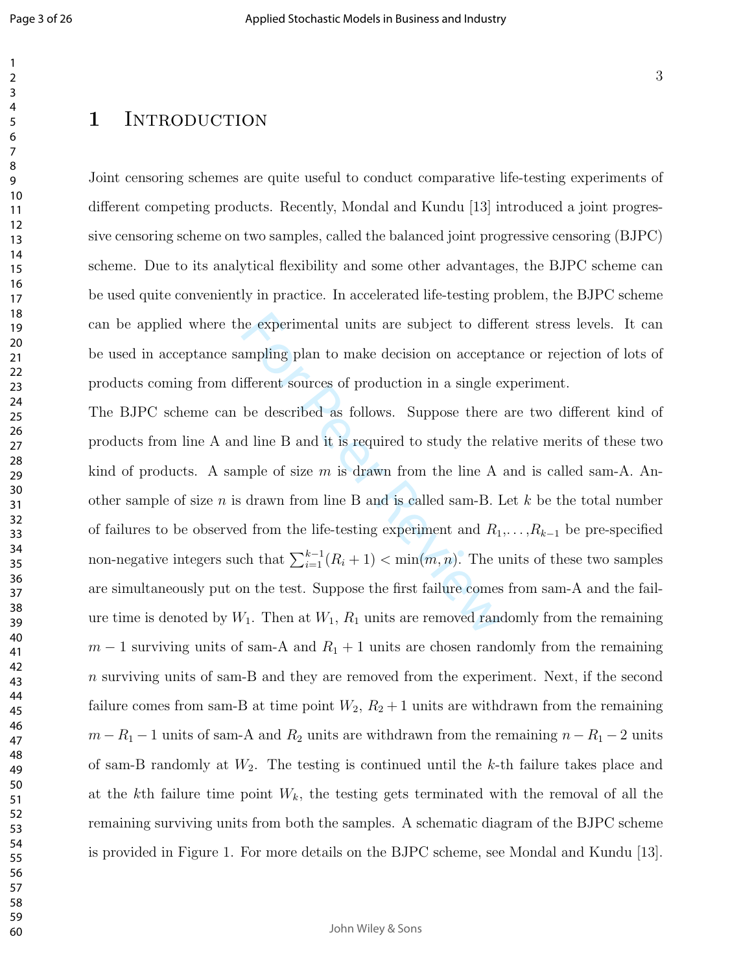## 1 INTRODUCTION

Joint censoring schemes are quite useful to conduct comparative life-testing experiments of different competing products. Recently, Mondal and Kundu [13] introduced a joint progressive censoring scheme on two samples, called the balanced joint progressive censoring (BJPC) scheme. Due to its analytical flexibility and some other advantages, the BJPC scheme can be used quite conveniently in practice. In accelerated life-testing problem, the BJPC scheme can be applied where the experimental units are subject to different stress levels. It can be used in acceptance sampling plan to make decision on acceptance or rejection of lots of products coming from different sources of production in a single experiment.

are experimental units are subject to different<br>sumpling plan to make decision on accepta<br>ifferent sources of production in a single e:<br>be described as follows. Suppose there<br>d line B and it is required to study the re<br>np The BJPC scheme can be described as follows. Suppose there are two different kind of products from line A and line B and it is required to study the relative merits of these two kind of products. A sample of size  $m$  is drawn from the line A and is called sam-A. Another sample of size n is drawn from line B and is called sam-B. Let  $k$  be the total number of failures to be observed from the life-testing experiment and  $R_1, \ldots, R_{k-1}$  be pre-specified non-negative integers such that  $\sum_{i=1}^{k-1} (R_i + 1) < \min(m, n)$ . The units of these two samples are simultaneously put on the test. Suppose the first failure comes from sam-A and the failure time is denoted by  $W_1$ . Then at  $W_1$ ,  $R_1$  units are removed randomly from the remaining  $m-1$  surviving units of sam-A and  $R_1 + 1$  units are chosen randomly from the remaining n surviving units of sam-B and they are removed from the experiment. Next, if the second failure comes from sam-B at time point  $W_2$ ,  $R_2 + 1$  units are withdrawn from the remaining  $m - R_1 - 1$  units of sam-A and  $R_2$  units are withdrawn from the remaining  $n - R_1 - 2$  units of sam-B randomly at  $W_2$ . The testing is continued until the k-th failure takes place and at the kth failure time point  $W_k$ , the testing gets terminated with the removal of all the remaining surviving units from both the samples. A schematic diagram of the BJPC scheme is provided in Figure 1. For more details on the BJPC scheme, see Mondal and Kundu [13].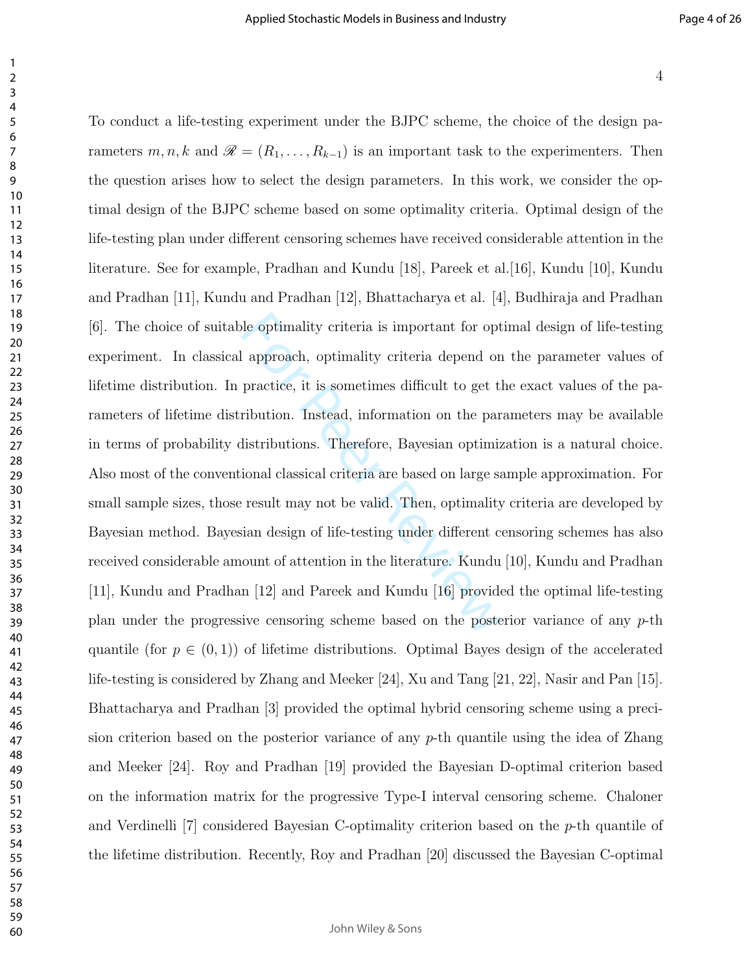To conduct a life-testing experiment under the BJPC scheme, the choice of the design pa-

le optimality criteria is important for opt<br>
l approach, optimality criteria depend on<br>
practice, it is sometimes difficult to get the<br>
ribution. Instead, information on the partistributions. Therefore, Bayesian optimiz<br>
i rameters  $m, n, k$  and  $\mathscr{R} = (R_1, \ldots, R_{k-1})$  is an important task to the experimenters. Then the question arises how to select the design parameters. In this work, we consider the optimal design of the BJPC scheme based on some optimality criteria. Optimal design of the life-testing plan under different censoring schemes have received considerable attention in the literature. See for example, Pradhan and Kundu [18], Pareek et al.[16], Kundu [10], Kundu and Pradhan [11], Kundu and Pradhan [12], Bhattacharya et al. [4], Budhiraja and Pradhan [6]. The choice of suitable optimality criteria is important for optimal design of life-testing experiment. In classical approach, optimality criteria depend on the parameter values of lifetime distribution. In practice, it is sometimes difficult to get the exact values of the parameters of lifetime distribution. Instead, information on the parameters may be available in terms of probability distributions. Therefore, Bayesian optimization is a natural choice. Also most of the conventional classical criteria are based on large sample approximation. For small sample sizes, those result may not be valid. Then, optimality criteria are developed by Bayesian method. Bayesian design of life-testing under different censoring schemes has also received considerable amount of attention in the literature. Kundu [10], Kundu and Pradhan [11], Kundu and Pradhan [12] and Pareek and Kundu [16] provided the optimal life-testing plan under the progressive censoring scheme based on the posterior variance of any p-th quantile (for  $p \in (0,1)$ ) of lifetime distributions. Optimal Bayes design of the accelerated life-testing is considered by Zhang and Meeker [24], Xu and Tang [21, 22], Nasir and Pan [15]. Bhattacharya and Pradhan [3] provided the optimal hybrid censoring scheme using a precision criterion based on the posterior variance of any p-th quantile using the idea of Zhang and Meeker [24]. Roy and Pradhan [19] provided the Bayesian D-optimal criterion based on the information matrix for the progressive Type-I interval censoring scheme. Chaloner and Verdinelli  $|7|$  considered Bayesian C-optimality criterion based on the  $p$ -th quantile of the lifetime distribution. Recently, Roy and Pradhan [20] discussed the Bayesian C-optimal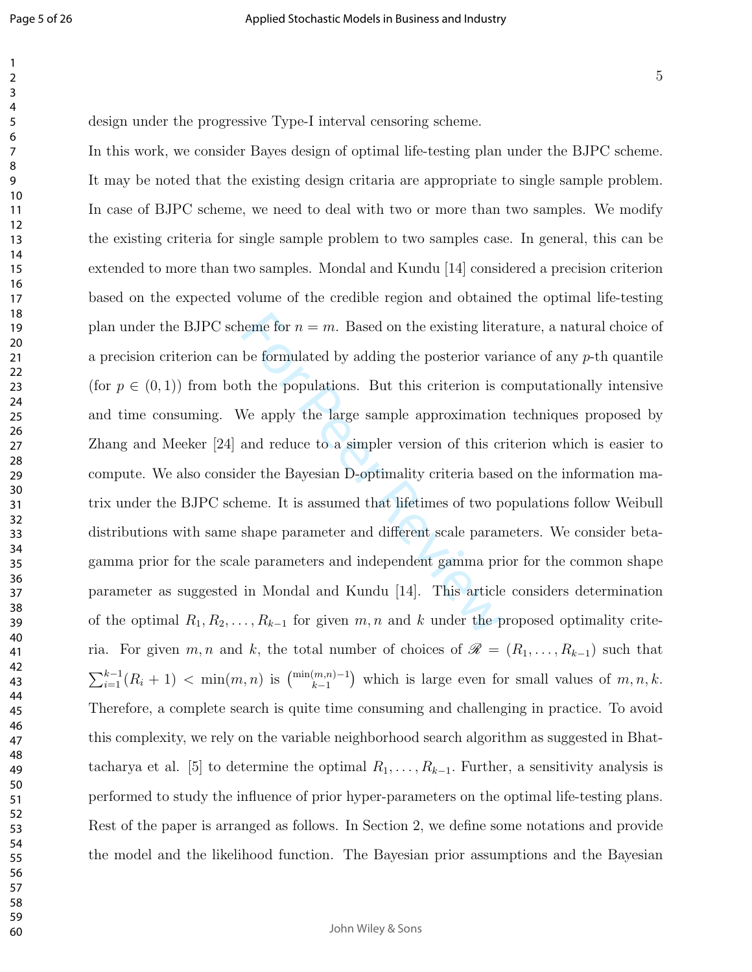design under the progressive Type-I interval censoring scheme.

heme for  $n = m$ . Based on the existing litesties<br>be formulated by adding the posterior var<br>th the populations. But this criterion is of<br>We apply the large sample approximation<br>and reduce to a simpler version of this criter In this work, we consider Bayes design of optimal life-testing plan under the BJPC scheme. It may be noted that the existing design critaria are appropriate to single sample problem. In case of BJPC scheme, we need to deal with two or more than two samples. We modify the existing criteria for single sample problem to two samples case. In general, this can be extended to more than two samples. Mondal and Kundu [14] considered a precision criterion based on the expected volume of the credible region and obtained the optimal life-testing plan under the BJPC scheme for  $n = m$ . Based on the existing literature, a natural choice of a precision criterion can be formulated by adding the posterior variance of any  $p$ -th quantile (for  $p \in (0, 1)$ ) from both the populations. But this criterion is computationally intensive and time consuming. We apply the large sample approximation techniques proposed by Zhang and Meeker [24] and reduce to a simpler version of this criterion which is easier to compute. We also consider the Bayesian D-optimality criteria based on the information matrix under the BJPC scheme. It is assumed that lifetimes of two populations follow Weibull distributions with same shape parameter and different scale parameters. We consider betagamma prior for the scale parameters and independent gamma prior for the common shape parameter as suggested in Mondal and Kundu [14]. This article considers determination of the optimal  $R_1, R_2, \ldots, R_{k-1}$  for given  $m, n$  and k under the proposed optimality criteria. For given  $m, n$  and k, the total number of choices of  $\mathscr{R} = (R_1, \ldots, R_{k-1})$  such that  $\sum_{i=1}^{k-1}(R_i+1) < \min(m,n)$  is  $\binom{\min(m,n)-1}{k-1}$  which is large even for small values of  $m, n, k$ . Therefore, a complete search is quite time consuming and challenging in practice. To avoid this complexity, we rely on the variable neighborhood search algorithm as suggested in Bhattacharya et al. [5] to determine the optimal  $R_1, \ldots, R_{k-1}$ . Further, a sensitivity analysis is performed to study the influence of prior hyper-parameters on the optimal life-testing plans. Rest of the paper is arranged as follows. In Section 2, we define some notations and provide the model and the likelihood function. The Bayesian prior assumptions and the Bayesian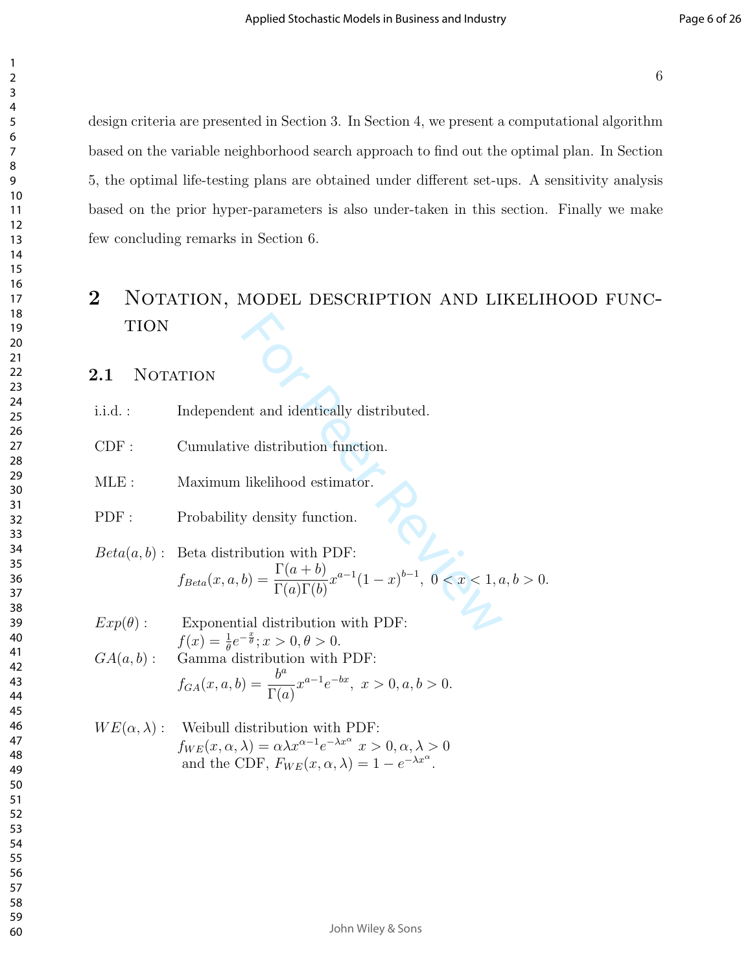design criteria are presented in Section 3. In Section 4, we present a computational algorithm based on the variable neighborhood search approach to find out the optimal plan. In Section 5, the optimal life-testing plans are obtained under different set-ups. A sensitivity analysis based on the prior hyper-parameters is also under-taken in this section. Finally we make few concluding remarks in Section 6.

## Notation, model description and likelihood func-**TION**

### 2.1 NOTATION

- i.i.d. : Independent and identically distributed.
- CDF : Cumulative distribution function.
- MLE : Maximum likelihood estimator.
- PDF : Probability density function.

TION

\ni.i.d. : Independent and identically distributed.

\nCDF: Cumulative distribution function.

\nMLE: Maximum likelihood estimator.

\nPDF: Probability density function.

\n
$$
Beta(a, b): Beta distribution with PDF:
$$

\n
$$
f_{Beta}(x, a, b) = \frac{\Gamma(a + b)}{\Gamma(a)\Gamma(b)} x^{a-1} (1 - x)^{b-1}, \ 0 < x < 1, a, b > 0.
$$

\n
$$
Exp(\theta): \quad \text{Exponential distribution with PDF:}
$$

 $Exp(\theta)$ : Exponential distribution with PDF:  $f(x) = \frac{1}{\theta} e^{-\frac{x}{\theta}}; x > 0, \theta > 0.$  $GA(a, b)$ : Gamma distribution with PDF:  $ha$ 

$$
f_{GA}(x, a, b) = \frac{b^a}{\Gamma(a)} x^{a-1} e^{-bx}, \ x > 0, a, b > 0.
$$

$$
WE(\alpha, \lambda): \text{ Weibull distribution with PDF:}
$$
  
\n
$$
f_{WE}(x, \alpha, \lambda) = \alpha \lambda x^{\alpha - 1} e^{-\lambda x^{\alpha}} x > 0, \alpha, \lambda > 0
$$
  
\nand the CDF,  $F_{WE}(x, \alpha, \lambda) = 1 - e^{-\lambda x^{\alpha}}$ .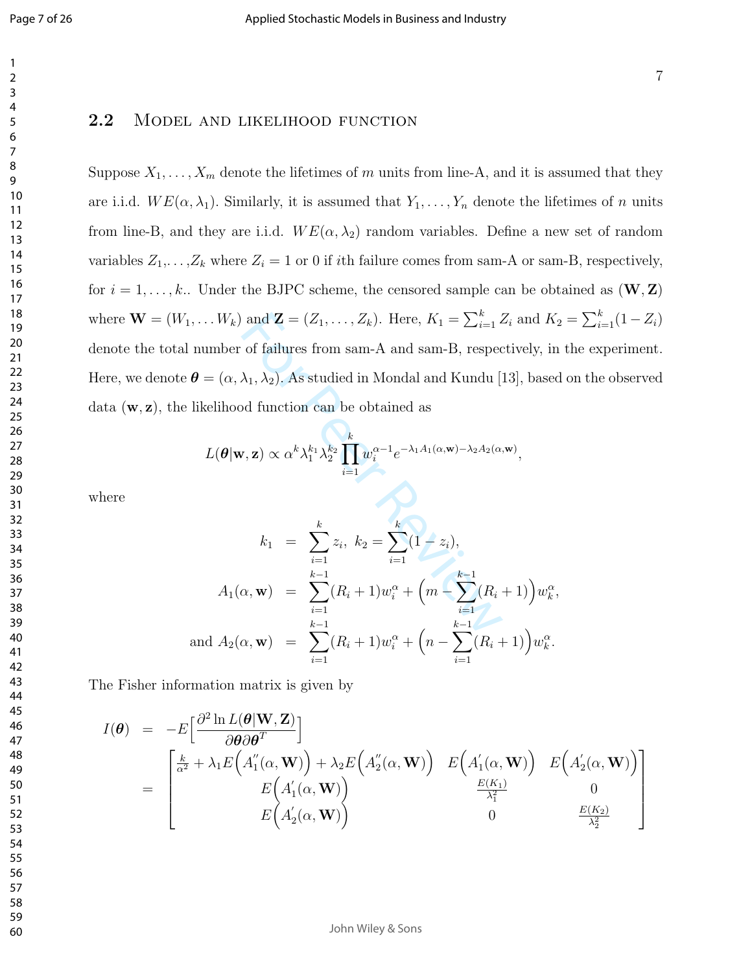#### 2.2 MODEL AND LIKELIHOOD FUNCTION

Suppose  $X_1, \ldots, X_m$  denote the lifetimes of m units from line-A, and it is assumed that they are i.i.d.  $WE(\alpha, \lambda_1)$ . Similarly, it is assumed that  $Y_1, \ldots, Y_n$  denote the lifetimes of n units from line-B, and they are i.i.d.  $WE(\alpha, \lambda_2)$  random variables. Define a new set of random variables  $Z_1, \ldots, Z_k$  where  $Z_i = 1$  or 0 if *i*th failure comes from sam-A or sam-B, respectively, for  $i = 1, \ldots, k$ . Under the BJPC scheme, the censored sample can be obtained as  $(\mathbf{W}, \mathbf{Z})$ where  $\mathbf{W} = (W_1, \dots W_k)$  and  $\mathbf{Z} = (Z_1, \dots, Z_k)$ . Here,  $K_1 = \sum_{i=1}^k Z_i$  and  $K_2 = \sum_{i=1}^k (1 - Z_i)$ denote the total number of failures from sam-A and sam-B, respectively, in the experiment. Here, we denote  $\bm{\theta}=(\alpha,\lambda_1,\lambda_2).$  As studied in Mondal and Kundu [13], based on the observed data ( w , z ) , the likelihood function can be obtained as

$$
L(\boldsymbol{\theta}|\mathbf{w},\mathbf{z}) \propto \alpha^k \lambda_1^{k_1} \lambda_2^{k_2} \prod_{i=1}^k w_i^{\alpha-1} e^{-\lambda_1 A_1(\alpha,\mathbf{w}) - \lambda_2 A_2(\alpha,\mathbf{w})},
$$

where

$$
f(x, ..., W_k) \text{ and } \mathbf{Z} = (Z_1, ..., Z_k). \text{ Here, } K_1 = \sum_{i=1}^k Z_i \text{ and } K_2
$$
  
number of failures from sam-A and sam-B, respectively, in  

$$
\boldsymbol{\theta} = (\alpha, \lambda_1, \lambda_2). \text{ As studied in Mondal and Kundu [13], basedlikelihood function can be obtained as
$$
L(\boldsymbol{\theta}|\mathbf{w}, \mathbf{z}) \propto \alpha^k \lambda_1^{k_1} \lambda_2^{k_2} \prod_{i=1}^k w_i^{\alpha-1} e^{-\lambda_1 A_1(\alpha, \mathbf{w}) - \lambda_2 A_2(\alpha, \mathbf{w})},
$$

$$
k_1 = \sum_{i=1}^k z_i, \ k_2 = \sum_{i=1}^k (1 - z_i),
$$

$$
A_1(\alpha, \mathbf{w}) = \sum_{i=1}^{k-1} (R_i + 1) w_i^{\alpha} + \left(m - \sum_{i=1}^{k-1} (R_i + 1)\right) w_k^{\alpha},
$$
and  $A_2(\alpha, \mathbf{w}) = \sum_{i=1}^{k-1} (R_i + 1) w_i^{\alpha} + \left(n - \sum_{i=1}^{k-1} (R_i + 1)\right) w_k^{\alpha}.$
$$

The Fisher information matrix is given by

$$
I(\boldsymbol{\theta}) = -E\left[\frac{\partial^2 \ln L(\boldsymbol{\theta}|\mathbf{W}, \mathbf{Z})}{\partial \boldsymbol{\theta} \partial \boldsymbol{\theta}^T}\right]
$$
  
= 
$$
\begin{bmatrix} \frac{k}{\alpha^2} + \lambda_1 E\left(A''_1(\alpha, \mathbf{W})\right) + \lambda_2 E\left(A''_2(\alpha, \mathbf{W})\right) & E\left(A'_1(\alpha, \mathbf{W})\right) & E\left(A'_2(\alpha, \mathbf{W})\right) \\ E\left(A'_1(\alpha, \mathbf{W})\right) & \frac{E(K_1)}{\lambda_1^2} & 0 \\ E\left(A'_2(\alpha, \mathbf{W})\right) & 0 & \frac{E(K_2)}{\lambda_2^2} \end{bmatrix}
$$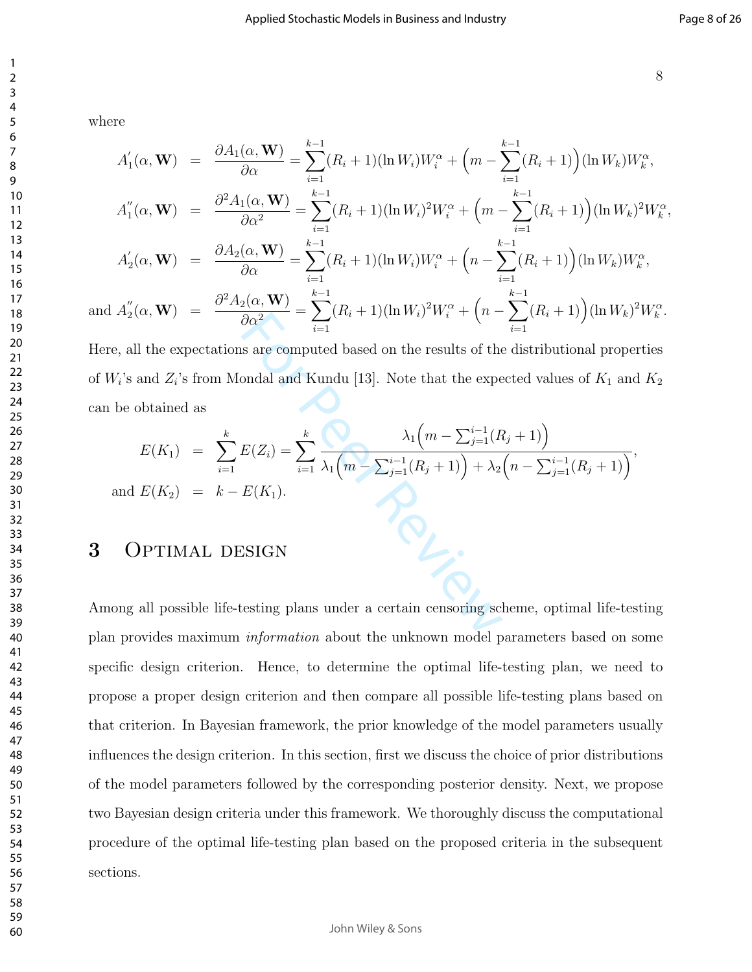where

$$
A'_{1}(\alpha, \mathbf{W}) = \frac{\partial A_{1}(\alpha, \mathbf{W})}{\partial \alpha} = \sum_{i=1}^{k-1} (R_{i} + 1)(\ln W_{i}) W_{i}^{\alpha} + \left(m - \sum_{i=1}^{k-1} (R_{i} + 1)\right)(\ln W_{k}) W_{k}^{\alpha},
$$
  

$$
\partial^{2} A_{1}(\alpha, \mathbf{W}) = \frac{k-1}{2} \sum_{i=1}^{k-1} (R_{i} + 1)(\ln W_{i}) W_{i}^{\alpha} + \left(m - \sum_{i=1}^{k-1} (R_{i} + 1)\right)(\ln W_{k}) W_{k}^{\alpha},
$$

$$
A_1''(\alpha, \mathbf{W}) = \frac{\partial^2 A_1(\alpha, \mathbf{W})}{\partial \alpha^2} = \sum_{i=1}^{k-1} (R_i + 1)(\ln W_i)^2 W_i^{\alpha} + \left(m - \sum_{i=1}^{k-1} (R_i + 1)\right)(\ln W_k)^2 W_k^{\alpha},
$$

$$
A'_2(\alpha, \mathbf{W}) = \frac{\partial A_2(\alpha, \mathbf{W})}{\partial \alpha} = \sum_{i=1}^{k-1} (R_i + 1)(\ln W_i) W_i^{\alpha} + \left(n - \sum_{i=1}^{k-1} (R_i + 1)\right) (\ln W_k) W_k^{\alpha},
$$

and 
$$
A_2''(\alpha, \mathbf{W}) = \frac{\partial^2 A_2(\alpha, \mathbf{W})}{\partial \alpha^2} = \sum_{i=1}^{k-1} (R_i + 1) (\ln W_i)^2 W_i^{\alpha} + \left(n - \sum_{i=1}^{k-1} (R_i + 1)\right) (\ln W_k)^2 W_k^{\alpha}.
$$

Here, all the expectations are computed based on the results of the distributional properties of  $W_i$ 's and  $Z_i$ 's from Mondal and Kundu [13]. Note that the expected values of  $K_1$  and  $K_2$ can be obtained as

$$
Z_{12}(u, w) = \frac{1}{2} \sum_{i=1}^{n} (R_i + 1)(\ln w_i) w_i + (n - \sum_{i=1}^{n} (R_i + 1)) (\ln w_k)
$$
\n
$$
W_i
$$
's and  $Z_i$ 's from Mondal and Kundu [13]. Note that the expected values of  $K_1$  and  
\nbe obtained as\n
$$
E(K_1) = \sum_{i=1}^{k} E(Z_i) = \sum_{i=1}^{k} \frac{\lambda_1 \left( m - \sum_{j=1}^{i-1} (R_j + 1) \right)}{\lambda_1 \left( m - \sum_{j=1}^{i-1} (R_j + 1) \right) + \lambda_2 \left( n - \sum_{j=1}^{i-1} (R_j + 1) \right)},
$$
\nand  $E(K_2) = k - E(K_1)$ .  
\nOPTIMAL DESIGN  
\n
$$
W_i
$$

## 3 OPTIMAL DESIGN

Among all possible life-testing plans under a certain censoring scheme, optimal life-testing plan provides maximum information about the unknown model parameters based on some specific design criterion. Hence, to determine the optimal life-testing plan, we need to propose a proper design criterion and then compare all possible life-testing plans based on that criterion. In Bayesian framework, the prior knowledge of the model parameters usually influences the design criterion. In this section, first we discuss the choice of prior distributions of the model parameters followed by the corresponding posterior density. Next, we propose two Bayesian design criteria under this framework. We thoroughly discuss the computational procedure of the optimal life-testing plan based on the proposed criteria in the subsequent sections.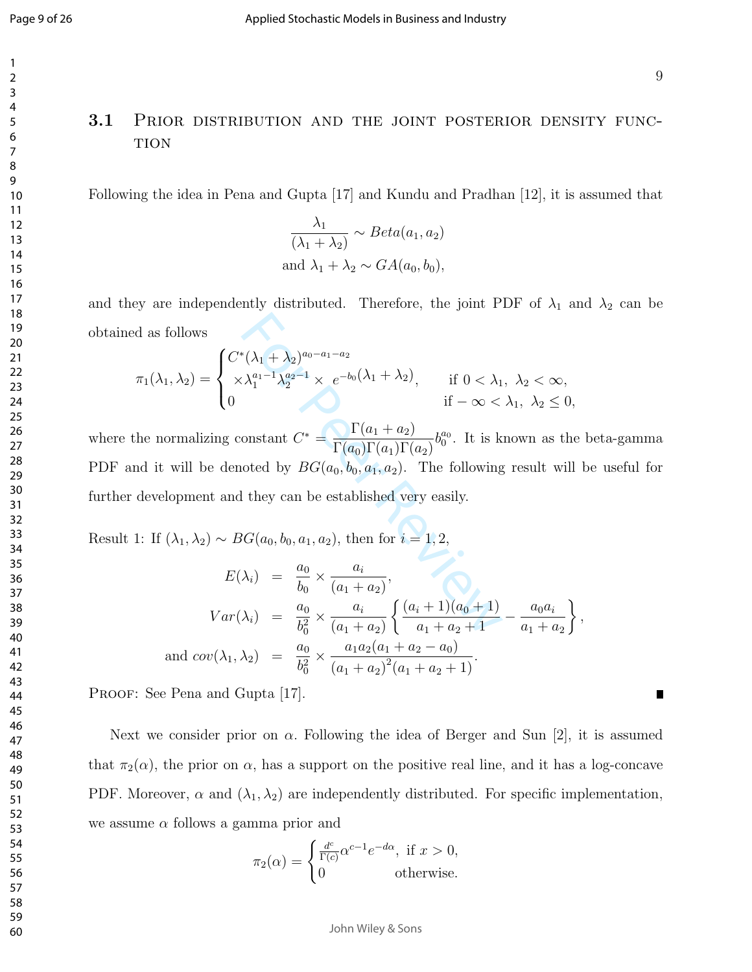Г

## 3.1 PRIOR DISTRIBUTION AND THE JOINT POSTERIOR DENSITY FUNC-**TION**

Following the idea in Pena and Gupta [17] and Kundu and Pradhan [12], it is assumed that

$$
\frac{\lambda_1}{(\lambda_1 + \lambda_2)} \sim Beta(a_1, a_2)
$$
  
and  $\lambda_1 + \lambda_2 \sim GA(a_0, b_0)$ ,

and they are independently distributed. Therefore, the joint PDF of  $\lambda_1$  and  $\lambda_2$  can be obtained as follows

$$
\pi_1(\lambda_1, \lambda_2) = \begin{cases} C^*(\lambda_1 + \lambda_2)^{a_0 - a_1 - a_2} \\ \times \lambda_1^{a_1 - 1} \lambda_2^{a_2 - 1} \times e^{-b_0(\lambda_1 + \lambda_2)}, & \text{if } 0 < \lambda_1, \ \lambda_2 < \infty, \\ 0 & \text{if } -\infty < \lambda_1, \ \lambda_2 \le 0, \end{cases}
$$

 $\chi_1^*(\lambda_1 + \lambda_2)^{a_0 - a_1 - a_2}$ <br>  $\lambda_1^{a_1 - 1} \lambda_2^{a_2 - 1} \times e^{-b_0(\lambda_1 + \lambda_2)}$ , if  $0 < \lambda_1$ <br>
if  $-\infty <$ <br>
onstant  $C^* = \frac{\Gamma(a_1 + a_2)}{\Gamma(a_0)\Gamma(a_1)\Gamma(a_2)} b_0^{a_0}$ . It is k<br>
ooted by  $BG(a_0, b_0, a_1, a_2)$ . The following<br>
l they can be where the normalizing constant  $C^* =$  $\Gamma(a_1 + a_2)$  $\Gamma(a_0)\Gamma(a_1)\Gamma(a_2)$  $b_0^{a_0}$ . It is known as the beta-gamma PDF and it will be denoted by  $BG(a_0, b_0, a_1, a_2)$ . The following result will be useful for further development and they can be established very easily.

Result 1: If  $(\lambda_1, \lambda_2) \sim BG(a_0, b_0, a_1, a_2)$ , then for  $i = 1, 2$ ,

$$
E(\lambda_i) = \frac{a_0}{b_0} \times \frac{a_i}{(a_1 + a_2)},
$$
  
\n
$$
Var(\lambda_i) = \frac{a_0}{b_0^2} \times \frac{a_i}{(a_1 + a_2)} \left\{ \frac{(a_i + 1)(a_0 + 1)}{a_1 + a_2 + 1} - \frac{a_0 a_i}{a_1 + a_2} \right\},
$$
  
\nand 
$$
cov(\lambda_1, \lambda_2) = \frac{a_0}{b_0^2} \times \frac{a_1 a_2 (a_1 + a_2 - a_0)}{(a_1 + a_2)^2 (a_1 + a_2 + 1)}.
$$

PROOF: See Pena and Gupta [17].

Next we consider prior on  $\alpha$ . Following the idea of Berger and Sun [2], it is assumed that  $\pi_2(\alpha)$ , the prior on  $\alpha$ , has a support on the positive real line, and it has a log-concave PDF. Moreover,  $\alpha$  and  $(\lambda_1, \lambda_2)$  are independently distributed. For specific implementation, we assume  $\alpha$  follows a gamma prior and

$$
\pi_2(\alpha) = \begin{cases} \frac{d^c}{\Gamma(c)} \alpha^{c-1} e^{-d\alpha}, & \text{if } x > 0, \\ 0 & \text{otherwise.} \end{cases}
$$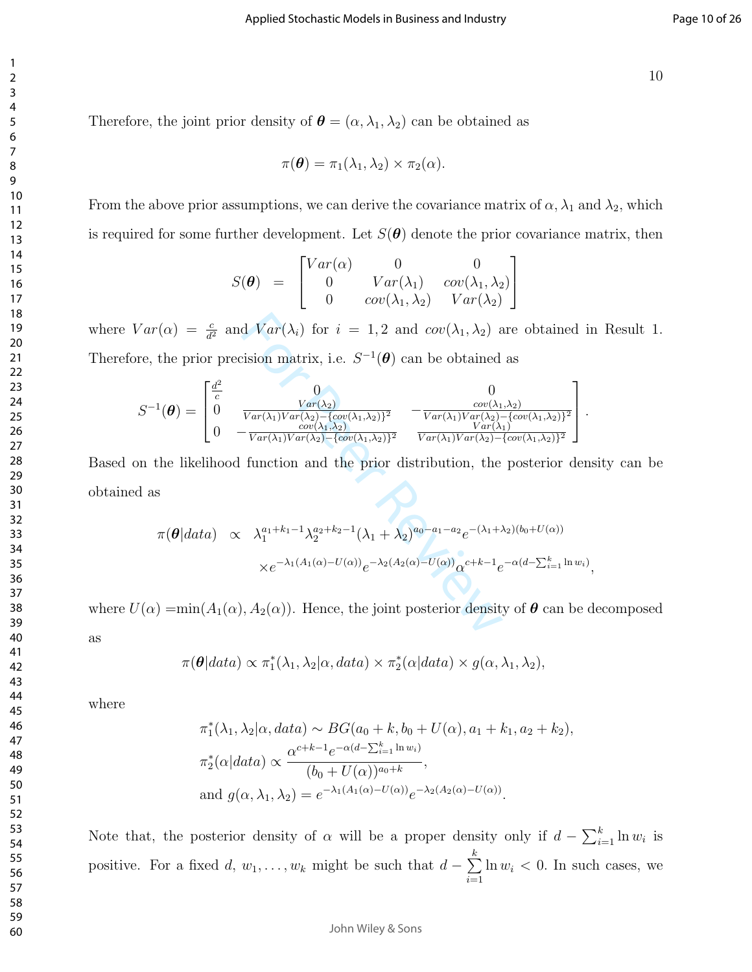Therefore, the joint prior density of  $\boldsymbol{\theta} = (\alpha, \lambda_1, \lambda_2)$  can be obtained as

$$
\pi(\boldsymbol{\theta}) = \pi_1(\lambda_1, \lambda_2) \times \pi_2(\alpha).
$$

From the above prior assumptions, we can derive the covariance matrix of  $\alpha$ ,  $\lambda_1$  and  $\lambda_2$ , which is required for some further development. Let  $S(\theta)$  denote the prior covariance matrix, then

$$
S(\boldsymbol{\theta}) = \begin{bmatrix} Var(\alpha) & 0 & 0 \\ 0 & Var(\lambda_1) & cov(\lambda_1, \lambda_2) \\ 0 & cov(\lambda_1, \lambda_2) & Var(\lambda_2) \end{bmatrix}
$$

where  $Var(\alpha) = \frac{c}{d^2}$  and  $Var(\lambda_i)$  for  $i = 1, 2$  and  $cov(\lambda_1, \lambda_2)$  are obtained in Result 1. Therefore, the prior precision matrix, i.e.  $S^{-1}(\boldsymbol{\theta})$  can be obtained as

$$
Var(\alpha) = \frac{c}{d^2} \text{ and } Var(\lambda_i) \text{ for } i = 1, 2 \text{ and } cov(\lambda_1, \lambda_2) \text{ are obtained is}
$$
  
\nre, the prior precision matrix, i.e.  $S^{-1}(\theta)$  can be obtained as  
\n
$$
S^{-1}(\theta) = \begin{bmatrix} \frac{d^2}{c} & 0 & 0 \\ 0 & \frac{Var(\lambda_2)}{Var(\lambda_1)Var(\lambda_2)} - \frac{cov(\lambda_1, \lambda_2)}{Cov(\lambda_1, \lambda_2)} & -\frac{cov(\lambda_1, \lambda_2)}{Var(\lambda_1)Var(\lambda_2)} - \frac{cov(\lambda_1, \lambda_2)}{Var(\lambda_1)Var(\lambda_2)} \end{bmatrix}
$$
  
\nIn the likelihood function and the prior distribution, the posterior der  
\n
$$
1 \text{ as}
$$
  
\n
$$
\pi(\theta|data) \propto \lambda_1^{a_1+k_1-1} \lambda_2^{a_2+k_2-1} (\lambda_1 + \lambda_2)^{a_0-a_1-a_2} e^{-(\lambda_1+\lambda_2)(b_0+U(\alpha))}
$$
  
\n
$$
\times e^{-\lambda_1(A_1(\alpha)-U(\alpha))} e^{-\lambda_2(A_2(\alpha)-U(\alpha))} \alpha^{c+k-1} e^{-\alpha(d-\sum_{i=1}^k \ln w_i)}
$$
  
\n
$$
I(\alpha) = min(A_1(\alpha), A_2(\alpha)). \text{ Hence, the joint posterior density of } \theta \text{ can be}
$$

Based on the likelihood function and the prior distribution, the posterior density can be obtained as

$$
\pi(\theta|data) \propto \lambda_1^{a_1+k_1-1} \lambda_2^{a_2+k_2-1} (\lambda_1 + \lambda_2)^{a_0-a_1-a_2} e^{-(\lambda_1 + \lambda_2)(b_0 + U(\alpha))}
$$
  
 
$$
\times e^{-\lambda_1(A_1(\alpha) - U(\alpha))} e^{-\lambda_2(A_2(\alpha) - U(\alpha))} \alpha^{c+k-1} e^{-\alpha(d - \sum_{i=1}^k \ln w_i)},
$$

where  $U(\alpha) = min(A_1(\alpha), A_2(\alpha))$ . Hence, the joint posterior density of  $\theta$  can be decomposed

as

$$
\pi(\boldsymbol{\theta}|data) \propto \pi_1^*(\lambda_1, \lambda_2|\alpha, data) \times \pi_2^*(\alpha|data) \times g(\alpha, \lambda_1, \lambda_2),
$$

where

$$
\pi_1^*(\lambda_1, \lambda_2 | \alpha, data) \sim BG(a_0 + k, b_0 + U(\alpha), a_1 + k_1, a_2 + k_2),
$$
  
\n
$$
\pi_2^*(\alpha | data) \propto \frac{\alpha^{c+k-1} e^{-\alpha(d - \sum_{i=1}^k \ln w_i)}}{(b_0 + U(\alpha))^{a_0 + k}},
$$
  
\nand 
$$
g(\alpha, \lambda_1, \lambda_2) = e^{-\lambda_1(A_1(\alpha) - U(\alpha))} e^{-\lambda_2(A_2(\alpha) - U(\alpha))}.
$$

Note that, the posterior density of  $\alpha$  will be a proper density only if  $d - \sum_{i=1}^{k} \ln w_i$  is positive. For a fixed d,  $w_1, \ldots, w_k$  might be such that  $d - \sum_{k=1}^{k}$  $i=1$  $\ln w_i < 0$ . In such cases, we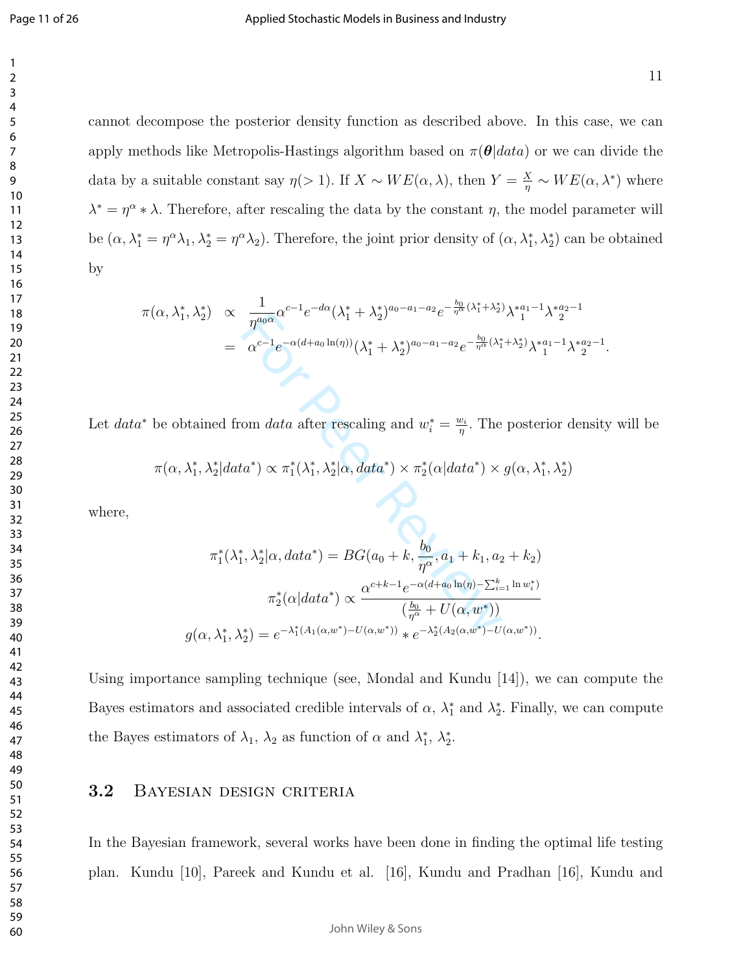cannot decompose the posterior density function as described above. In this case, we can apply methods like Metropolis-Hastings algorithm based on  $\pi(\theta|data)$  or we can divide the data by a suitable constant say  $\eta(>1)$ . If  $X \sim WE(\alpha, \lambda)$ , then  $Y = \frac{X}{\eta} \sim WE(\alpha, \lambda^*)$  where  $\lambda^* = \eta^{\alpha} * \lambda$ . Therefore, after rescaling the data by the constant  $\eta$ , the model parameter will be  $(\alpha, \lambda_1^* = \eta^{\alpha} \lambda_1, \lambda_2^* = \eta^{\alpha} \lambda_2)$ . Therefore, the joint prior density of  $(\alpha, \lambda_1^*, \lambda_2^*)$  can be obtained by

$$
\pi(\alpha, \lambda_1^*, \lambda_2^*) \propto \frac{1}{\eta^{a_0 \alpha}} \alpha^{c-1} e^{-d\alpha} (\lambda_1^* + \lambda_2^*)^{a_0 - a_1 - a_2} e^{-\frac{b_0}{\eta^{\alpha}} (\lambda_1^* + \lambda_2^*)} \lambda_1^{* a_1 - 1} \lambda_2^{* a_2 - 1}
$$
\n
$$
= \alpha^{c-1} e^{-\alpha(d + a_0 \ln(\eta))} (\lambda_1^* + \lambda_2^*)^{a_0 - a_1 - a_2} e^{-\frac{b_0}{\eta^{\alpha}} (\lambda_1^* + \lambda_2^*)} \lambda_1^{* a_1 - 1} \lambda_2^{* a_2 - 1}.
$$

Let data\* be obtained from data after rescaling and  $w_i^* = \frac{w_i}{\eta}$ . The posterior density will be

$$
\pi(\alpha,\lambda_1^*,\lambda_2^*|data^*)\propto \pi_1^*(\lambda_1^*,\lambda_2^*|\alpha,data^*)\times \pi_2^*(\alpha|data^*)\times g(\alpha,\lambda_1^*,\lambda_2^*)
$$

where,

$$
\int_{\gamma} \Lambda_{2}y \, dx \, d\mathbf{r} \, d\mathbf{r}
$$
\n
$$
= \alpha^{c-1} e^{-\alpha(d+a_{0}\ln(\eta))} (\lambda_{1}^{*} + \lambda_{2}^{*})^{a_{0}-a_{1}-a_{2}} e^{-\frac{b_{0}}{\eta^{a}}(\lambda_{1}^{*} + \lambda_{2}^{*})} \lambda_{1}^{*}
$$
\n
$$
= \alpha^{c-1} e^{-\alpha(d+a_{0}\ln(\eta))} (\lambda_{1}^{*} + \lambda_{2}^{*})^{a_{0}-a_{1}-a_{2}} e^{-\frac{b_{0}}{\eta^{a}}(\lambda_{1}^{*} + \lambda_{2}^{*})} \lambda_{1}^{*}
$$
\n
$$
\text{stained from data after rescaling and } w_{i}^{*} = \frac{w_{i}}{\eta}. \text{ The poster}
$$
\n
$$
\lambda_{1}^{*}, \lambda_{2}^{*} | data^{*} \rangle \propto \pi_{1}^{*}(\lambda_{1}^{*}, \lambda_{2}^{*} | \alpha, data^{*}) \times \pi_{2}^{*}(\alpha|data^{*}) \times g(\alpha, \lambda_{1}^{*})
$$
\n
$$
\pi_{1}^{*}(\lambda_{1}^{*}, \lambda_{2}^{*} | \alpha, data^{*}) = BG(a_{0} + k, \frac{b_{0}}{\eta^{\alpha}}, a_{1} + k_{1}, a_{2} + k_{2})
$$
\n
$$
\pi_{2}^{*}(\alpha|data^{*}) \propto \frac{\alpha^{c+k-1} e^{-\alpha(d+a_{0}\ln(\eta)-\sum_{i=1}^{k}\ln w_{i}^{*})}}{(\frac{b_{0}}{\eta^{\alpha}} + U(\alpha, w^{*}))}
$$
\n
$$
g(\alpha, \lambda_{1}^{*}, \lambda_{2}^{*}) = e^{-\lambda_{1}^{*}(A_{1}(\alpha, w^{*}) - U(\alpha, w^{*}))} * e^{-\lambda_{2}^{*}(A_{2}(\alpha, w^{*}) - U(\alpha, w^{*}))}.
$$

Using importance sampling technique (see, Mondal and Kundu [14]), we can compute the Bayes estimators and associated credible intervals of  $\alpha$ ,  $\lambda_1^*$  and  $\lambda_2^*$ . Finally, we can compute the Bayes estimators of  $\lambda_1$ ,  $\lambda_2$  as function of  $\alpha$  and  $\lambda_1^*$ ,  $\lambda_2^*$ .

#### 3.2 Bayesian design criteria

In the Bayesian framework, several works have been done in finding the optimal life testing plan. Kundu [10], Pareek and Kundu et al. [16], Kundu and Pradhan [16], Kundu and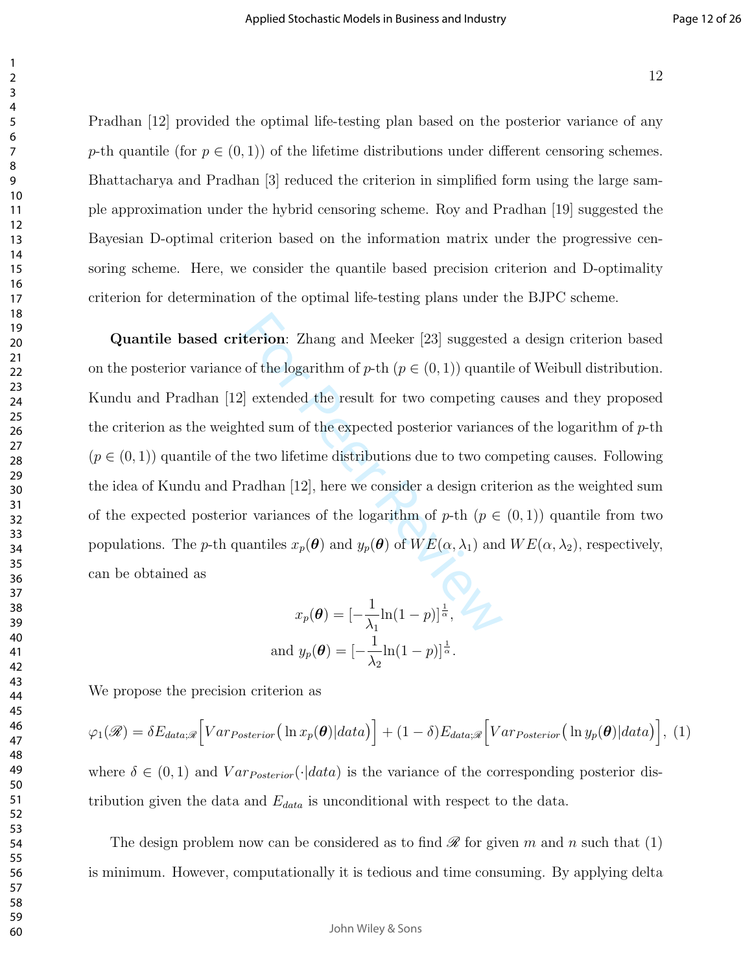Pradhan [12] provided the optimal life-testing plan based on the posterior variance of any p-th quantile (for  $p \in (0,1)$ ) of the lifetime distributions under different censoring schemes. Bhattacharya and Pradhan [3] reduced the criterion in simplified form using the large sample approximation under the hybrid censoring scheme. Roy and Pradhan [19] suggested the Bayesian D-optimal criterion based on the information matrix under the progressive censoring scheme. Here, we consider the quantile based precision criterion and D-optimality criterion for determination of the optimal life-testing plans under the BJPC scheme.

**Example 18.1** Thang and Meeker [23] suggested<br>of the logarithm of *p*-th ( $p \in (0, 1)$ ) quanti<br>ell extended the result for two competing of<br>ted sum of the expected posterior variance<br>ne two lifetime distributions due to t Quantile based criterion: Zhang and Meeker [23] suggested a design criterion based on the posterior variance of the logarithm of  $p$ -th  $(p \in (0, 1))$  quantile of Weibull distribution. Kundu and Pradhan [12] extended the result for two competing causes and they proposed the criterion as the weighted sum of the expected posterior variances of the logarithm of  $p$ -th  $(p \in (0, 1))$  quantile of the two lifetime distributions due to two competing causes. Following the idea of Kundu and Pradhan [12], here we consider a design criterion as the weighted sum of the expected posterior variances of the logarithm of  $p$ -th  $(p \in (0,1))$  quantile from two populations. The p-th quantiles  $x_p(\theta)$  and  $y_p(\theta)$  of  $WE(\alpha, \lambda_1)$  and  $WE(\alpha, \lambda_2)$ , respectively, can be obtained as

$$
x_p(\boldsymbol{\theta}) = \left[-\frac{1}{\lambda_1}\ln(1-p)\right]^{\frac{1}{\alpha}},
$$
  
and  $y_p(\boldsymbol{\theta}) = \left[-\frac{1}{\lambda_2}\ln(1-p)\right]^{\frac{1}{\alpha}}.$ 

We propose the precision criterion as

$$
\varphi_1(\mathscr{R}) = \delta E_{data;\mathscr{R}} \Big[ Var_{Posterior} \big( \ln x_p(\boldsymbol{\theta}) | data \big) \Big] + (1-\delta) E_{data;\mathscr{R}} \Big[ Var_{Posterior} \big( \ln y_p(\boldsymbol{\theta}) | data \big) \Big], \tag{1}
$$

where  $\delta \in (0,1)$  and  $Var_{Posterior}(\cdot|data)$  is the variance of the corresponding posterior distribution given the data and  $E_{data}$  is unconditional with respect to the data.

The design problem now can be considered as to find  $\mathscr R$  for given m and n such that (1) is minimum. However, computationally it is tedious and time consuming. By applying delta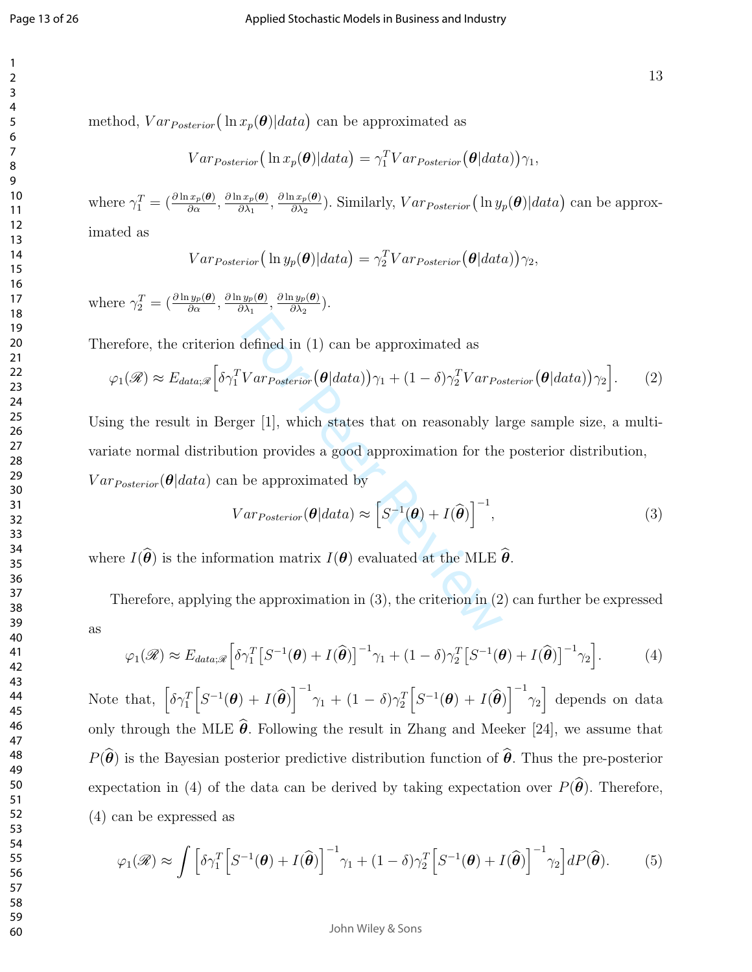method,  $Var_{Posterior}(\ln x_p(\boldsymbol{\theta})|data)$  can be approximated as

$$
Var_{Posterior} (\ln x_p(\boldsymbol\theta)|data) = \gamma_1^T Var_{Posterior}(\boldsymbol\theta|data))\gamma_1,
$$

where  $\gamma_1^T = \left(\frac{\partial \ln x_p(\theta)}{\partial \alpha}\right)$  $\frac{d x_p(\bm{\theta})}{d \alpha}, \frac{\partial \ln x_p(\bm{\theta})}{\partial \lambda_1}$  $\frac{\partial \ln x_p(\bm{\theta})}{\partial \lambda_1}, \frac{\partial \ln x_p(\bm{\theta})}{\partial \lambda_2}$  $\frac{dx_p(\theta)}{\partial \lambda_2}$ ). Similarly,  $Var_{Posterior}(\ln y_p(\theta)|data)$  can be approx-

imated as

$$
Var_{Posterior} (\ln y_p(\boldsymbol{\theta}) | data) = \gamma_2^T Var_{Posterior}(\boldsymbol{\theta} | data)) \gamma_2,
$$

where  $\gamma_2^T = \left(\frac{\partial \ln y_p(\boldsymbol{\theta})}{\partial \alpha}\right)$  $\frac{\partial y_p(\bm{\theta})}{\partial \alpha}, \frac{\partial \ln y_p(\bm{\theta})}{\partial \lambda_1}$  $\frac{\partial \ln y_p(\bm{\theta})}{\partial \lambda_1}, \frac{\partial \ln y_p(\bm{\theta})}{\partial \lambda_2}$  $\frac{\partial^2 y_p(\boldsymbol{\theta})}{\partial \lambda_2}$ .

Therefore, the criterion defined in (1) can be approximated as

$$
\varphi_1(\mathscr{R}) \approx E_{data;\mathscr{R}} \Big[ \delta \gamma_1^T Var_{Posterior} \big( \boldsymbol{\theta} | data \big) \Big) \gamma_1 + (1 - \delta) \gamma_2^T Var_{Posterior} \big( \boldsymbol{\theta} | data \big) \Big) \gamma_2 \Big]. \tag{2}
$$

defined in (1) can be approximated as<br>  $Var_{Posterior}(\theta|data))\gamma_1 + (1 - \delta)\gamma_2^T Var_{Pos}$ <br>
ser [1], which states that on reasonably lation provides a good approximation for the<br>
be approximated by<br>  $Var_{Posterior}(\theta|data) \approx [S^{-1}(\theta) + I(\hat{\theta})]^{-1}$ ,<br>
ation Using the result in Berger [1], which states that on reasonably large sample size, a multivariate normal distribution provides a good approximation for the posterior distribution,  $Var_{Posterior}(\boldsymbol{\theta} | data)$  can be approximated by

$$
Var_{Posterior}(\boldsymbol{\theta}|data) \approx \left[S^{-1}(\boldsymbol{\theta}) + I(\widehat{\boldsymbol{\theta}})\right]^{-1},\tag{3}
$$

where  $I(\theta)$  is the information matrix  $I(\theta)$  evaluated at the MLE  $\theta$ .

Therefore, applying the approximation in (3), the criterion in (2) can further be expressed as

$$
\varphi_1(\mathscr{R}) \approx E_{data;\mathscr{R}} \Big[ \delta \gamma_1^T \big[ S^{-1}(\boldsymbol{\theta}) + I(\widehat{\boldsymbol{\theta}}) \big]^{-1} \gamma_1 + (1 - \delta) \gamma_2^T \big[ S^{-1}(\boldsymbol{\theta}) + I(\widehat{\boldsymbol{\theta}}) \big]^{-1} \gamma_2 \Big]. \tag{4}
$$

Note that,  $\left[\delta\gamma_{1}^{T}\Big[S^{-1}(\boldsymbol{\theta})+I(\widehat{\boldsymbol{\theta}})\right]^{-1}\gamma_{1}+(1-\delta)\gamma_{2}^{T}\Big[S^{-1}(\boldsymbol{\theta})+I(\widehat{\boldsymbol{\theta}})\Big]^{-1}\gamma_{2}\right]$  depends on data only through the MLE  $\theta$ . Following the result in Zhang and Meeker [24], we assume that  $P(\theta)$  is the Bayesian posterior predictive distribution function of  $\theta$ . Thus the pre-posterior expectation in (4) of the data can be derived by taking expectation over  $P(\theta)$ . Therefore, (4) can be expressed as

$$
\varphi_1(\mathscr{R}) \approx \int \left[ \delta \gamma_1^T \left[ S^{-1}(\boldsymbol{\theta}) + I(\widehat{\boldsymbol{\theta}}) \right]^{-1} \gamma_1 + (1 - \delta) \gamma_2^T \left[ S^{-1}(\boldsymbol{\theta}) + I(\widehat{\boldsymbol{\theta}}) \right]^{-1} \gamma_2 \right] dP(\widehat{\boldsymbol{\theta}}). \tag{5}
$$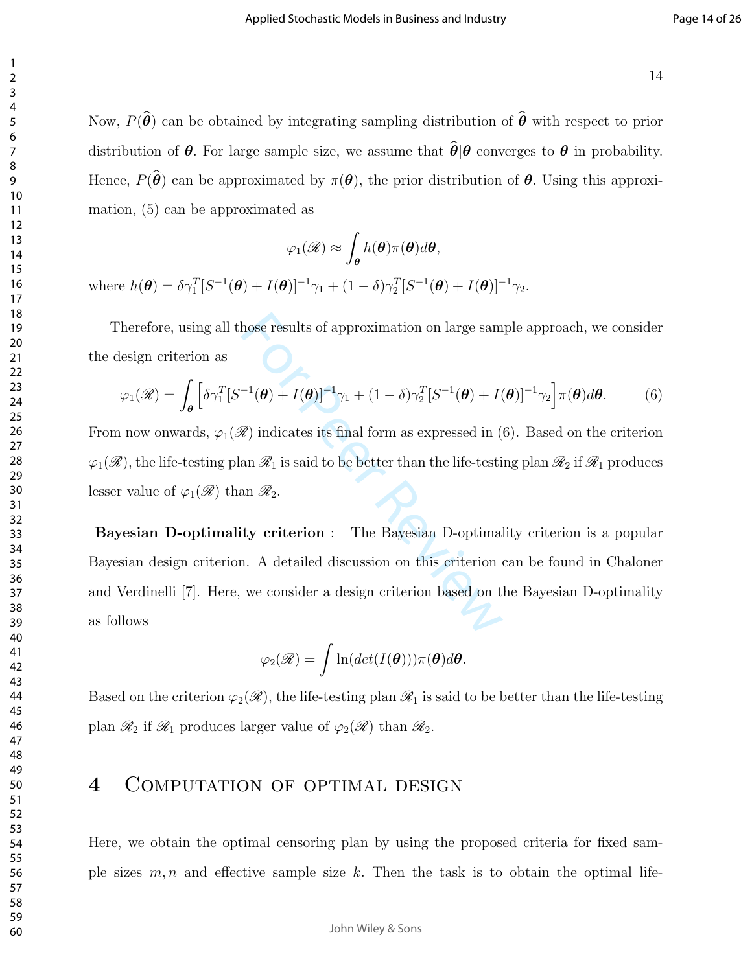Now,  $P(\hat{\theta})$  can be obtained by integrating sampling distribution of  $\hat{\theta}$  with respect to prior distribution of  $\theta$ . For large sample size, we assume that  $\hat{\theta}|\theta$  converges to  $\theta$  in probability. Hence,  $P(\widehat{\boldsymbol{\theta}})$  can be approximated by  $\pi(\boldsymbol{\theta})$ , the prior distribution of  $\boldsymbol{\theta}$ . Using this approximation, (5) can be approximated as

$$
\varphi_1(\mathscr{R}) \approx \int_{\theta} h(\theta) \pi(\theta) d\theta,
$$
\n
$$
L(\theta) = \int_{\theta} \mathcal{L}(\theta) \pi(\theta) d\theta
$$

where  $h(\boldsymbol{\theta}) = \delta \gamma_1^T [S^{-1}(\boldsymbol{\theta}) + I(\boldsymbol{\theta})]^{-1} \gamma_1 + (1 - \delta) \gamma_2^T [S^{-1}(\boldsymbol{\theta}) + I(\boldsymbol{\theta})]^{-1} \gamma_2$ .

Therefore, using all those results of approximation on large sample approach, we consider the design criterion as

$$
\varphi_1(\mathscr{R}) = \int_{\boldsymbol{\theta}} \left[ \delta \gamma_1^T [S^{-1}(\boldsymbol{\theta}) + I(\boldsymbol{\theta})]^{-1} \gamma_1 + (1 - \delta) \gamma_2^T [S^{-1}(\boldsymbol{\theta}) + I(\boldsymbol{\theta})]^{-1} \gamma_2 \right] \pi(\boldsymbol{\theta}) d\boldsymbol{\theta}.
$$
 (6)

From now onwards,  $\varphi_1(\mathscr{R})$  indicates its final form as expressed in (6). Based on the criterion  $\varphi_1(\mathscr{R})$ , the life-testing plan  $\mathscr{R}_1$  is said to be better than the life-testing plan  $\mathscr{R}_2$  if  $\mathscr{R}_1$  produces lesser value of  $\varphi_1(\mathscr{R})$  than  $\mathscr{R}_2$ .

hose results of approximation on large sam<br>  $^{-1}(\theta) + I(\theta)^{-1}\gamma_1 + (1 - \delta)\gamma_2^T[S^{-1}(\theta) + I(\theta)]$ <br>
(*a*) indicates its final form as expressed in (<br>
(an  $\mathcal{R}_1$  is said to be better than the life-testi<br>
an  $\mathcal{R}_2$ .<br>
(**by criter** Bayesian D-optimality criterion : The Bayesian D-optimality criterion is a popular Bayesian design criterion. A detailed discussion on this criterion can be found in Chaloner and Verdinelli [7]. Here, we consider a design criterion based on the Bayesian D-optimality as follows

$$
\varphi_2(\mathscr{R}) = \int \ln(det(I(\boldsymbol{\theta}))) \pi(\boldsymbol{\theta}) d\boldsymbol{\theta}.
$$

Based on the criterion  $\varphi_2(\mathscr{R})$ , the life-testing plan  $\mathscr{R}_1$  is said to be better than the life-testing plan  $\mathcal{R}_2$  if  $\mathcal{R}_1$  produces larger value of  $\varphi_2(\mathcal{R})$  than  $\mathcal{R}_2$ .

## 4 COMPUTATION OF OPTIMAL DESIGN

Here, we obtain the optimal censoring plan by using the proposed criteria for fixed sample sizes  $m, n$  and effective sample size k. Then the task is to obtain the optimal life-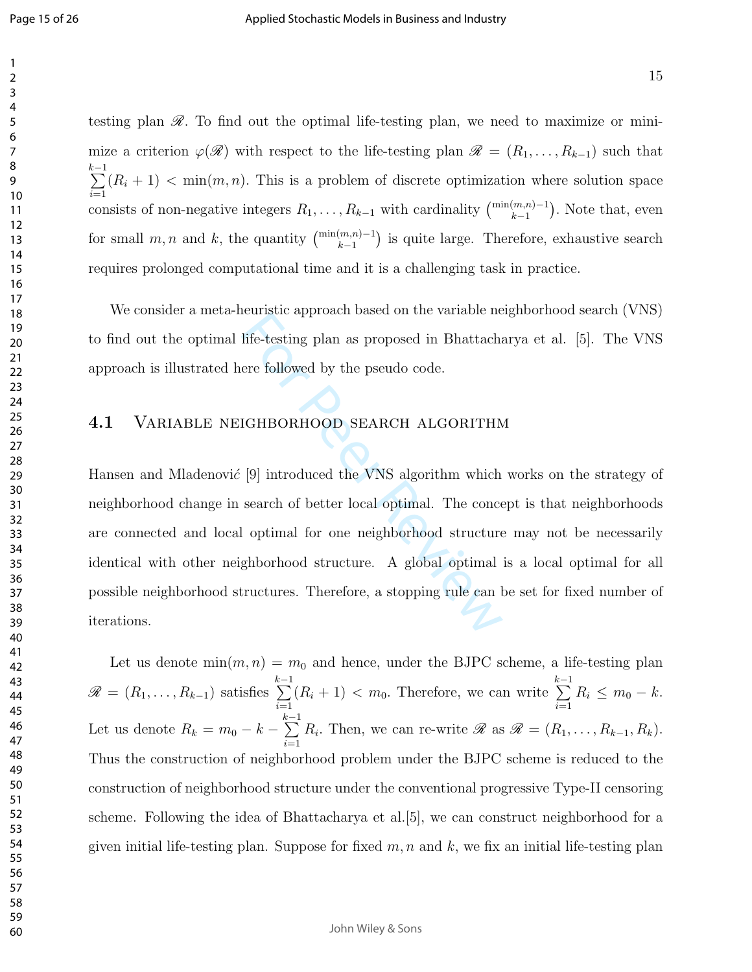testing plan  $\mathscr R$ . To find out the optimal life-testing plan, we need to maximize or minimize a criterion  $\varphi(\mathscr{R})$  with respect to the life-testing plan  $\mathscr{R} = (R_1, \ldots, R_{k-1})$  such that  $\sum_{i=1}^{k-1}$  $i=1$  $(R_i + 1)$  < min $(m, n)$ . This is a problem of discrete optimization where solution space consists of non-negative integers  $R_1, \ldots, R_{k-1}$  with cardinality  $\binom{\min(m,n)-1}{k-1}$ . Note that, even for small  $m, n$  and k, the quantity  $\binom{\min(m,n)-1}{k-1}$  is quite large. Therefore, exhaustive search requires prolonged computational time and it is a challenging task in practice.

We consider a meta-heuristic approach based on the variable neighborhood search (VNS) to find out the optimal life-testing plan as proposed in Bhattacharya et al. [5]. The VNS approach is illustrated here followed by the pseudo code.

#### 4.1 Variable neighborhood search algorithm

Example approach based on the variable in<br>life-testing plan as proposed in Bhattacha<br>ere followed by the pseudo code.<br>IGHBORHOOD SEARCH ALGORITHM<br>[9] introduced the VNS algorithm which<br>search of better local optimal. The c Hansen and Mladenović  $[9]$  introduced the VNS algorithm which works on the strategy of neighborhood change in search of better local optimal. The concept is that neighborhoods are connected and local optimal for one neighborhood structure may not be necessarily identical with other neighborhood structure. A global optimal is a local optimal for all possible neighborhood structures. Therefore, a stopping rule can be set for fixed number of iterations.

Let us denote  $\min(m, n) = m_0$  and hence, under the BJPC scheme, a life-testing plan  $\mathscr{R} = (R_1, \ldots, R_{k-1})$  satisfies  $\sum_{i=1}^{k-1}$  $i=1$  $(R_i + 1) < m_0$ . Therefore, we can write  $\sum_{i=1}^{k-1}$  $i=1$  $R_i \leq m_0 - k.$ Let us denote  $R_k = m_0 - k \sum_{ }^{k-1}$  $i=1$  $R_i$ . Then, we can re-write  $\mathscr R$  as  $\mathscr R = (R_1, \ldots, R_{k-1}, R_k)$ . Thus the construction of neighborhood problem under the BJPC scheme is reduced to the construction of neighborhood structure under the conventional progressive Type-II censoring scheme. Following the idea of Bhattacharya et al.[5], we can construct neighborhood for a given initial life-testing plan. Suppose for fixed  $m, n$  and  $k$ , we fix an initial life-testing plan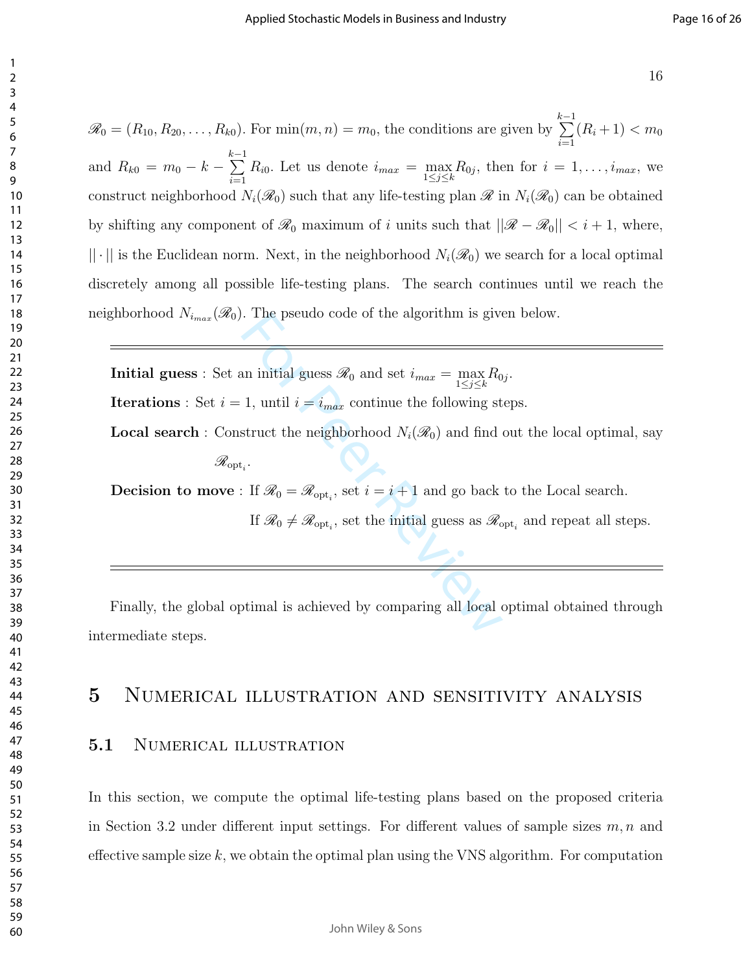$\mathscr{R}_0 = (R_{10}, R_{20}, \ldots, R_{k0})$ . For  $\min(m, n) = m_0$ , the conditions are given by  $\sum_{ }^{k-1}$  $i=1$  $(R_i+1) < m_0$ and  $R_{k0} = m_0 - k \sum_{ }^{k-1}$  $i=1$  $R_{i0}$ . Let us denote  $i_{max} = \max_{1 \leq j \leq k} R_{0j}$ , then for  $i = 1, \ldots, i_{max}$ , we construct neighborhood  $N_i(\mathcal{R}_0)$  such that any life-testing plan  $\mathcal{R}$  in  $N_i(\mathcal{R}_0)$  can be obtained by shifting any component of  $\mathcal{R}_0$  maximum of i units such that  $||\mathcal{R} - \mathcal{R}_0|| < i + 1$ , where,  $|| \cdot ||$  is the Euclidean norm. Next, in the neighborhood  $N_i(\mathcal{R}_0)$  we search for a local optimal discretely among all possible life-testing plans. The search continues until we reach the neighborhood  $N_{i_{max}}(\mathcal{R}_0)$ . The pseudo code of the algorithm is given below.

For Peer and Schemann in this gives  $\mathscr{R}_0$  and set  $i_{max} = \max_{1 \leq j \leq k} R_0$ <br>
1, until  $i = i_{max}$  continue the following st<br>
struct the neighborhood  $N_i(\mathscr{R}_0)$  and find  $i$ <br>
i. If  $\mathscr{R}_0 = \mathscr{R}_{\text{opt}_i}$ , set  $i = i + 1$  an **Initial guess**: Set an initial guess  $\mathcal{R}_0$  and set  $i_{max} = \max_{1 \leq j \leq k} R_{0j}$ . **Iterations** : Set  $i = 1$ , until  $i = i_{max}$  continue the following steps.

**Local search**: Construct the neighborhood  $N_i(\mathcal{R}_0)$  and find out the local optimal, say

 $\mathscr{R}_{{\rm opt}_i}.$ 

**Decision to move**: If  $\mathcal{R}_0 = \mathcal{R}_{\text{opt}_i}$ , set  $i = i + 1$  and go back to the Local search.

If  $\mathcal{R}_0 \neq \mathcal{R}_{\text{opt}_i}$ , set the initial guess as  $\mathcal{R}_{\text{opt}_i}$  and repeat all steps.

Finally, the global optimal is achieved by comparing all local optimal obtained through intermediate steps.

## Numerical illustration and sensitivity analysis

#### 5.1 NUMERICAL ILLUSTRATION

In this section, we compute the optimal life-testing plans based on the proposed criteria in Section 3.2 under different input settings. For different values of sample sizes  $m, n$  and effective sample size  $k$ , we obtain the optimal plan using the VNS algorithm. For computation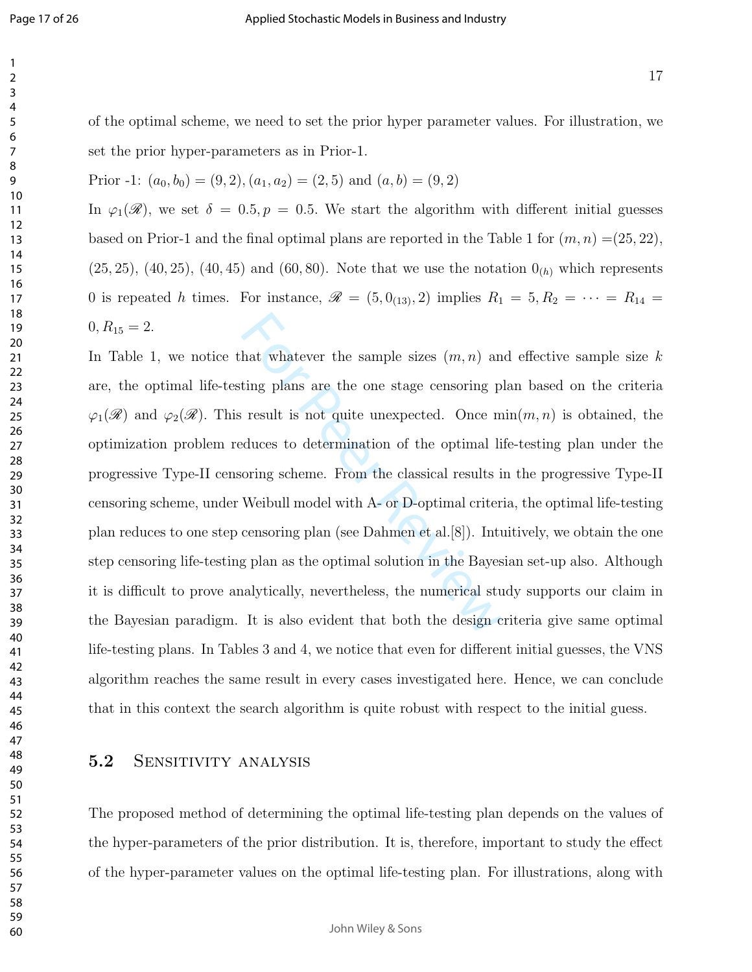of the optimal scheme, we need to set the prior hyper parameter values. For illustration, we set the prior hyper-parameters as in Prior-1.

Prior -1: 
$$
(a_0, b_0) = (9, 2), (a_1, a_2) = (2, 5)
$$
 and  $(a, b) = (9, 2)$ 

In  $\varphi_1(\mathscr{R})$ , we set  $\delta = 0.5, p = 0.5$ . We start the algorithm with different initial guesses based on Prior-1 and the final optimal plans are reported in the Table 1 for  $(m, n) = (25, 22)$ ,  $(25, 25), (40, 25), (40, 45)$  and  $(60, 80)$ . Note that we use the notation  $0_{(h)}$  which represents 0 is repeated h times. For instance,  $\mathscr{R} = (5, 0_{(13)}, 2)$  implies  $R_1 = 5, R_2 = \cdots = R_{14}$  $0, R_{15} = 2.$ 

hat whatever the sample sizes  $(m, n)$  and<br>ting plans are the one stage censoring picsult is not quite unexpected. Once m<br>duces to determination of the optimal li<br>oring scheme. From the classical results is<br>Weibull model wi In Table 1, we notice that whatever the sample sizes  $(m, n)$  and effective sample size k are, the optimal life-testing plans are the one stage censoring plan based on the criteria  $\varphi_1(\mathscr{R})$  and  $\varphi_2(\mathscr{R})$ . This result is not quite unexpected. Once min $(m, n)$  is obtained, the optimization problem reduces to determination of the optimal life-testing plan under the progressive Type-II censoring scheme. From the classical results in the progressive Type-II censoring scheme, under Weibull model with A- or D-optimal criteria, the optimal life-testing plan reduces to one step censoring plan (see Dahmen et al.[8]). Intuitively, we obtain the one step censoring life-testing plan as the optimal solution in the Bayesian set-up also. Although it is difficult to prove analytically, nevertheless, the numerical study supports our claim in the Bayesian paradigm. It is also evident that both the design criteria give same optimal life-testing plans. In Tables 3 and 4, we notice that even for different initial guesses, the VNS algorithm reaches the same result in every cases investigated here. Hence, we can conclude that in this context the search algorithm is quite robust with respect to the initial guess.

#### 5.2 SENSITIVITY ANALYSIS

The proposed method of determining the optimal life-testing plan depends on the values of the hyper-parameters of the prior distribution. It is, therefore, important to study the effect of the hyper-parameter values on the optimal life-testing plan. For illustrations, along with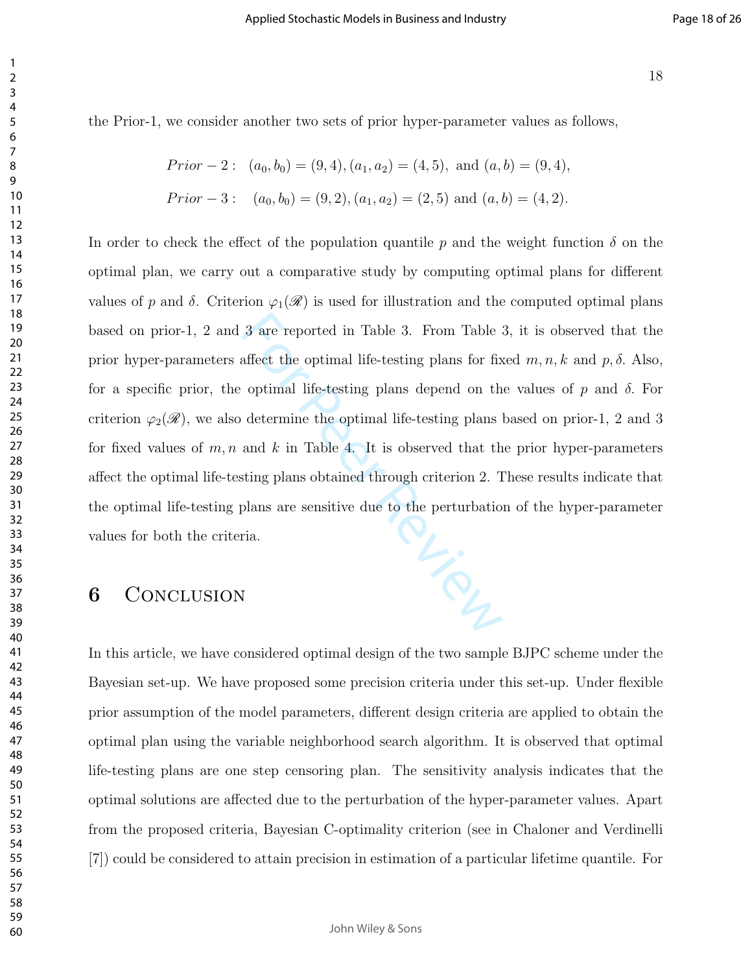the Prior-1, we consider another two sets of prior hyper-parameter values as follows,

*Prior* - 2: 
$$
(a_0, b_0) = (9, 4), (a_1, a_2) = (4, 5),
$$
 and  $(a, b) = (9, 4),$   
*Prior* - 3:  $(a_0, b_0) = (9, 2), (a_1, a_2) = (2, 5)$  and  $(a, b) = (4, 2).$ 

il relation In order to check the effect of the population quantile p and the weight function  $\delta$  on the optimal plan, we carry out a comparative study by computing optimal plans for different values of p and  $\delta$ . Criterion  $\varphi_1(\mathscr{R})$  is used for illustration and the computed optimal plans based on prior-1, 2 and 3 are reported in Table 3. From Table 3, it is observed that the prior hyper-parameters affect the optimal life-testing plans for fixed  $m, n, k$  and  $p, \delta$ . Also, for a specific prior, the optimal life-testing plans depend on the values of p and  $\delta$ . For criterion  $\varphi_2(\mathscr{R})$ , we also determine the optimal life-testing plans based on prior-1, 2 and 3 for fixed values of  $m, n$  and k in Table 4. It is observed that the prior hyper-parameters affect the optimal life-testing plans obtained through criterion 2. These results indicate that the optimal life-testing plans are sensitive due to the perturbation of the hyper-parameter values for both the criteria.

## CONCLUSION

In this article, we have considered optimal design of the two sample BJPC scheme under the Bayesian set-up. We have proposed some precision criteria under this set-up. Under flexible prior assumption of the model parameters, different design criteria are applied to obtain the optimal plan using the variable neighborhood search algorithm. It is observed that optimal life-testing plans are one step censoring plan. The sensitivity analysis indicates that the optimal solutions are affected due to the perturbation of the hyper-parameter values. Apart from the proposed criteria, Bayesian C-optimality criterion (see in Chaloner and Verdinelli [7]) could be considered to attain precision in estimation of a particular lifetime quantile. For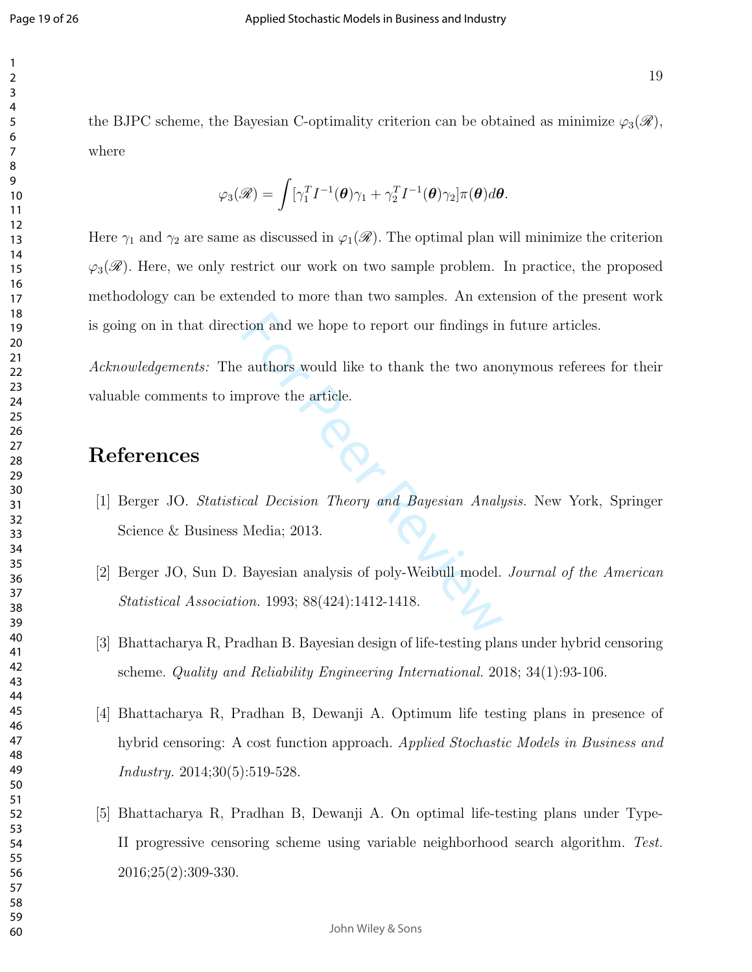the BJPC scheme, the Bayesian C-optimality criterion can be obtained as minimize  $\varphi_3(\mathscr{R})$ , where

$$
\varphi_3(\mathscr{R}) = \int [\gamma_1^T I^{-1}(\boldsymbol{\theta})\gamma_1 + \gamma_2^T I^{-1}(\boldsymbol{\theta})\gamma_2]\pi(\boldsymbol{\theta})d\boldsymbol{\theta}.
$$

Here  $\gamma_1$  and  $\gamma_2$  are same as discussed in  $\varphi_1(\mathscr{R})$ . The optimal plan will minimize the criterion  $\varphi_3(\mathscr{R})$ . Here, we only restrict our work on two sample problem. In practice, the proposed methodology can be extended to more than two samples. An extension of the present work is going on in that direction and we hope to report our findings in future articles.

From and we hope to report our findings in<br>
authors would like to thank the two and<br>
aprove the article.<br>
cal Decision Theory and Bayesian Analy<br>
Media; 2013.<br>
Bayesian analysis of poly-Weibull model.<br>
on. 1993; 88(424):14 Acknowledgements: The authors would like to thank the two anonymous referees for their valuable comments to improve the article.

## References

- [1] Berger JO. Statistical Decision Theory and Bayesian Analysis. New York, Springer Science & Business Media; 2013.
- [2] Berger JO, Sun D. Bayesian analysis of poly-Weibull model. Journal of the American Statistical Association. 1993; 88(424):1412-1418.
- [3] Bhattacharya R, Pradhan B. Bayesian design of life-testing plans under hybrid censoring scheme. Quality and Reliability Engineering International. 2018; 34(1):93-106.
- [4] Bhattacharya R, Pradhan B, Dewanji A. Optimum life testing plans in presence of hybrid censoring: A cost function approach. Applied Stochastic Models in Business and Industry. 2014;30(5):519-528.
- [5] Bhattacharya R, Pradhan B, Dewanji A. On optimal life-testing plans under Type-II progressive censoring scheme using variable neighborhood search algorithm. Test. 2016;25(2):309-330.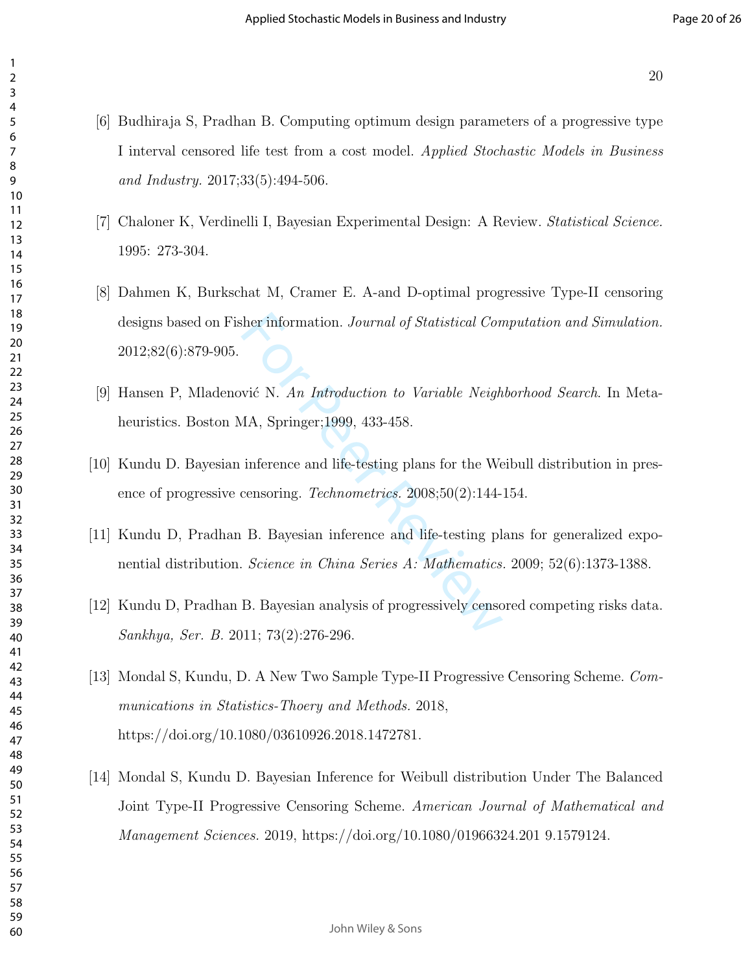- [6] Budhiraja S, Pradhan B. Computing optimum design parameters of a progressive type I interval censored life test from a cost model. Applied Stochastic Models in Business and Industry. 2017;33(5):494-506.
- [7] Chaloner K, Verdinelli I, Bayesian Experimental Design: A Review. Statistical Science. 1995: 273-304.
- ther information. *Journal of Statistical Con*<br>
Wié N. An Introduction to Variable Neigh<br>
MA, Springer;1999, 433-458.<br>
inference and life-testing plans for the We<br>
censoring. *Technometrics*. 2008;50(2):144-<br>
B. Bayesian i [8] Dahmen K, Burkschat M, Cramer E. A-and D-optimal progressive Type-II censoring designs based on Fisher information. Journal of Statistical Computation and Simulation. 2012;82(6):879-905.
- [9] Hansen P, Mladenović N. An Introduction to Variable Neighborhood Search. In Metaheuristics. Boston MA, Springer;1999, 433-458.
- [10] Kundu D. Bayesian inference and life-testing plans for the Weibull distribution in presence of progressive censoring. Technometrics. 2008;50(2):144-154.
- [11] Kundu D, Pradhan B. Bayesian inference and life-testing plans for generalized exponential distribution. Science in China Series A: Mathematics. 2009; 52(6):1373-1388.
- [12] Kundu D, Pradhan B. Bayesian analysis of progressively censored competing risks data. Sankhya, Ser. B. 2011; 73(2):276-296.
- [13] Mondal S, Kundu, D. A New Two Sample Type-II Progressive Censoring Scheme. Communications in Statistics-Thoery and Methods. 2018, https://doi.org/10.1080/03610926.2018.1472781.
- [14] Mondal S, Kundu D. Bayesian Inference for Weibull distribution Under The Balanced Joint Type-II Progressive Censoring Scheme. American Journal of Mathematical and Management Sciences. 2019, https://doi.org/10.1080/01966324.201 9.1579124.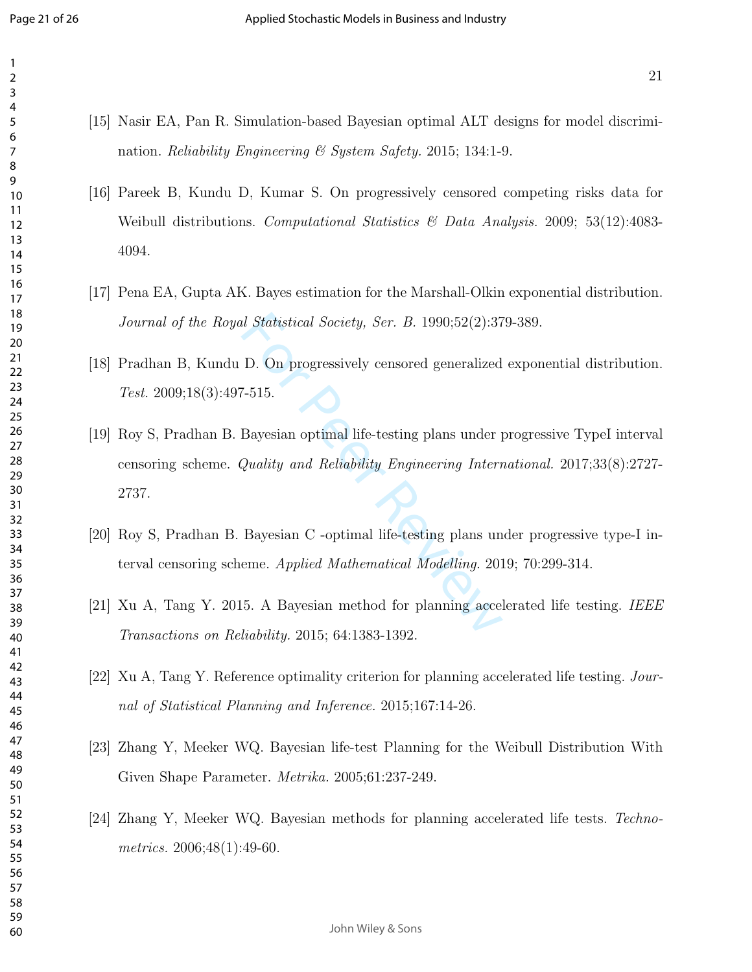- [15] Nasir EA, Pan R. Simulation-based Bayesian optimal ALT designs for model discrimination. *Reliability Engineering & System Safety.* 2015; 134:1-9.
- [16] Pareek B, Kundu D, Kumar S. On progressively censored competing risks data for Weibull distributions. Computational Statistics & Data Analysis. 2009; 53(12):4083- 4094.
- [17] Pena EA, Gupta AK. Bayes estimation for the Marshall-Olkin exponential distribution. Journal of the Royal Statistical Society, Ser. B. 1990;52(2):379-389.
- [18] Pradhan B, Kundu D. On progressively censored generalized exponential distribution. Test.  $2009;18(3):497-515$ .
- I Statistical Society, Ser. B. 1990;52(2):37<br>
D. On progressively censored generalized<br>
7-515.<br>
Bayesian optimal life-testing plans under  $Quality$  and Reliability Engineering Internet<br>
Rayesian C -optimal life-testing plans u [19] Roy S, Pradhan B. Bayesian optimal life-testing plans under progressive TypeI interval censoring scheme. Quality and Reliability Engineering International. 2017;33(8):2727- 2737.
- [20] Roy S, Pradhan B. Bayesian C -optimal life-testing plans under progressive type-I interval censoring scheme. Applied Mathematical Modelling. 2019; 70:299-314.
- [21] Xu A, Tang Y. 2015. A Bayesian method for planning accelerated life testing. IEEE Transactions on Reliability. 2015; 64:1383-1392.
- [22] Xu A, Tang Y. Reference optimality criterion for planning accelerated life testing. Journal of Statistical Planning and Inference. 2015;167:14-26.
- [23] Zhang Y, Meeker WQ. Bayesian life-test Planning for the Weibull Distribution With Given Shape Parameter. Metrika. 2005;61:237-249.
- [24] Zhang Y, Meeker WQ. Bayesian methods for planning accelerated life tests. Technometrics. 2006;48(1):49-60.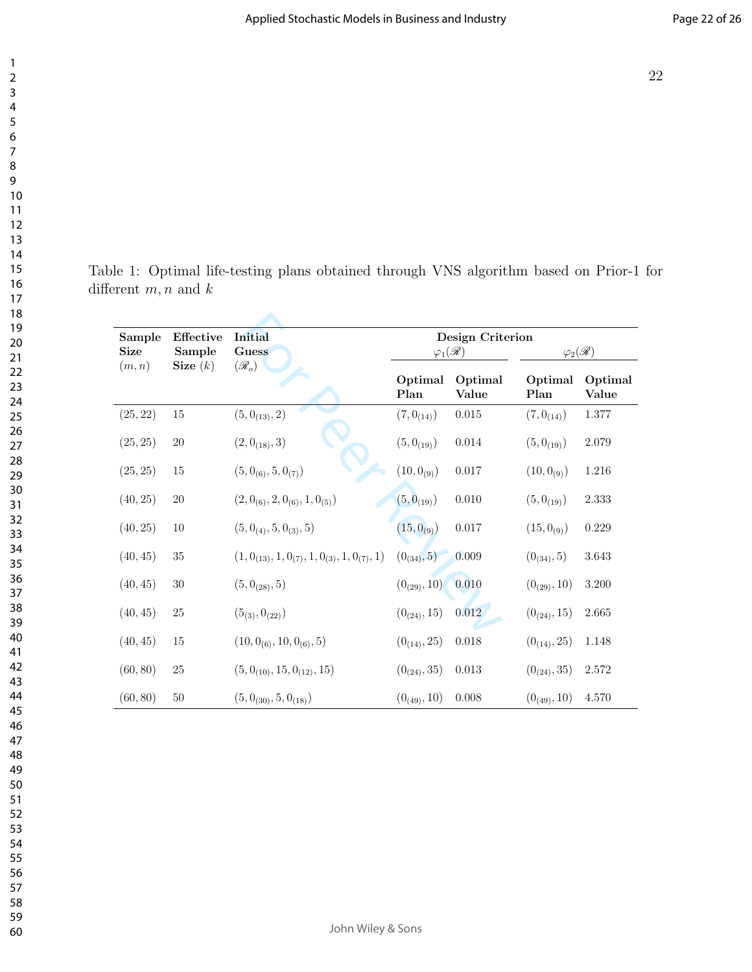Table 1: Optimal life-testing plans obtained through VNS algorithm based on Prior-1 for different  $m, n$  and  $k$ 

| Effective<br>Sample<br><b>Size</b><br>Sample |            | <b>Initial</b><br>Guess                                | Design Criterion<br>$\mathcal{Q}_1(\mathscr{R})$ |                  | $\varphi_2(\mathscr{R})$ |                  |
|----------------------------------------------|------------|--------------------------------------------------------|--------------------------------------------------|------------------|--------------------------|------------------|
| (m, n)                                       | Size $(k)$ | $(\mathscr{R}_o)$                                      | Optimal<br>Plan                                  | Optimal<br>Value | Optimal<br>Plan          | Optimal<br>Value |
| (25, 22)                                     | $15\,$     | $(5, 0_{(13)}, 2)$                                     | $(7, 0_{(14)})$                                  | 0.015            | $(7,0_{(14)})$           | 1.377            |
| (25, 25)                                     | $20\,$     | $(2, 0_{(18)}, 3)$                                     | $(5,0_{(19)})$                                   | $0.014\,$        | $(5, 0_{(19)})$          | $2.079\,$        |
| (25, 25)                                     | $15\,$     | $(5, 0_{(6)}, 5, 0_{(7)})$                             | $(10, 0_{(9)})$                                  | 0.017            | $(10, 0_{(9)})$          | 1.216            |
| (40, 25)                                     | $20\,$     | $(2, 0_{(6)}, 2, 0_{(6)}, 1, 0_{(5)})$                 | $(5,0_{(19)})$                                   | $0.010\,$        | $(5, 0_{(19)})$          | 2.333            |
| (40, 25)                                     | $10\,$     | $(5, 0_{(4)}, 5, 0_{(3)}, 5)$                          | $(15, 0_{(9)})$                                  | $0.017\,$        | $(15, 0_{(9)})$          | 0.229            |
| (40, 45)                                     | $35\,$     | $(1, 0_{(13)}, 1, 0_{(7)}, 1, 0_{(3)}, 1, 0_{(7)}, 1)$ | $(0_{(34)}, 5)$                                  | 0.009            | $(0_{(34)}, 5)$          | 3.643            |
| (40, 45)                                     | $30\,$     | $(5, 0_{(28)}, 5)$                                     | $(0_{(29)}, 10)$                                 | 0.010            | $(0_{(29)}, 10)$         | $3.200\,$        |
| (40, 45)                                     | $25\,$     | $(5_{(3)}, 0_{(22)})$                                  | $(0_{(24)}, 15)$                                 | 0.012            | $(0_{(24)}, 15)$         | 2.665            |
| (40, 45)                                     | $15\,$     | $(10, 0_{(6)}, 10, 0_{(6)}, 5)$                        | $(0_{(14)}, 25)$                                 | $0.018\,$        | $(0_{(14)}, 25)$         | 1.148            |
| (60, 80)                                     | $25\,$     | $(5, 0_{(10)}, 15, 0_{(12)}, 15)$                      | $(0_{(24)}, 35)$                                 | 0.013            | $(0_{(24)}, 35)$         | 2.572            |
| (60, 80)                                     | $50\,$     | $(5, 0_{(30)}, 5, 0_{(18)})$                           | $(0_{(49)}, 10)$                                 | 0.008            | $(0_{(49)}, 10)$         | 4.570            |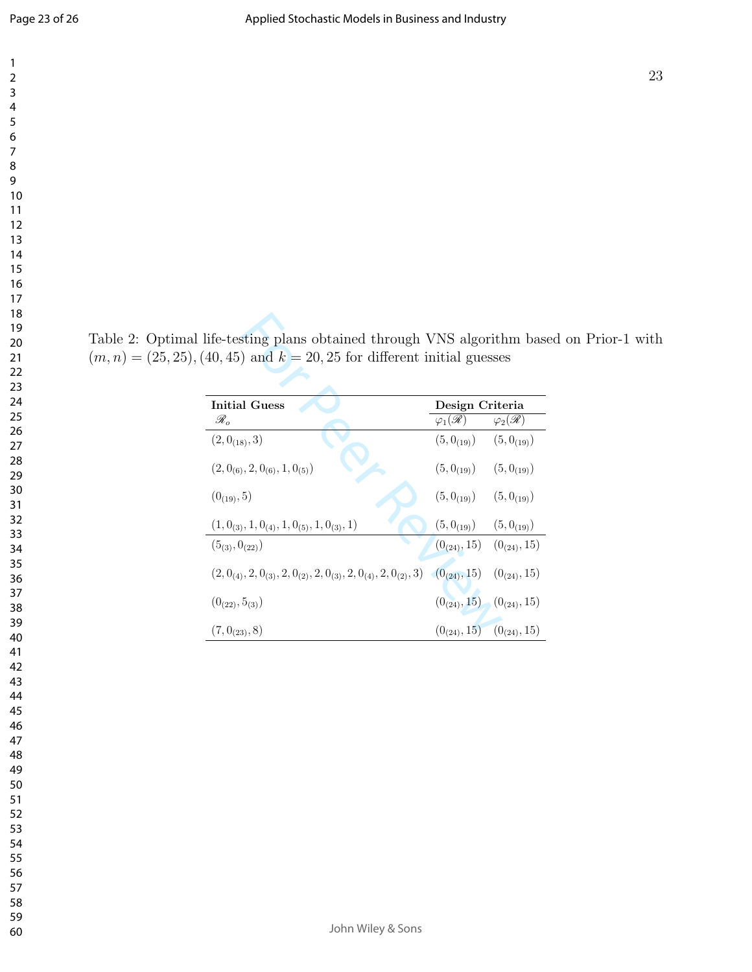Table 2: Optimal life-testing plans obtained through VNS algorithm based on Prior-1 with  $(m, n) = (25, 25), (40, 45)$  and  $k = 20, 25$  for different initial guesses

| <b>Initial Guess</b>                                                                           | Design Criteria                   |                          |  |
|------------------------------------------------------------------------------------------------|-----------------------------------|--------------------------|--|
| $\mathscr{R}_o$                                                                                | $\varphi_1(\mathscr{R})$          | $\varphi_2(\mathscr{R})$ |  |
| $(2, 0_{(18)}, 3)$                                                                             | $(5,0_{(19)})$ $(5,0_{(19)})$     |                          |  |
| $(2, 0_{(6)}, 2, 0_{(6)}, 1, 0_{(5)})$                                                         | $(5,0_{(19)})$                    | $(5,0_{(19)})$           |  |
| $(0_{(19)}, 5)$                                                                                | $(5,0_{(19)})$                    | $(5, 0_{(19)})$          |  |
| $(1, 0_{(3)}, 1, 0_{(4)}, 1, 0_{(5)}, 1, 0_{(3)}, 1)$                                          | $(5,0_{(19)})$ $(5,0_{(19)})$     |                          |  |
| $(5_{(3)}, 0_{(22)})$                                                                          | $(0_{(24)}, 15)$ $(0_{(24)}, 15)$ |                          |  |
| $(2, 0_{(4)}, 2, 0_{(3)}, 2, 0_{(2)}, 2, 0_{(3)}, 2, 0_{(4)}, 2, 0_{(2)}, 3)$ $(0_{(24)}, 15)$ |                                   | $(0_{(24)}, 15)$         |  |
| $(0_{(22)}, 5_{(3)})$                                                                          | $(0_{(24)}, 15)$ $(0_{(24)}, 15)$ |                          |  |
| $(7, 0_{(23)}, 8)$                                                                             | $(0_{(24)}, 15)$ $(0_{(24)}, 15)$ |                          |  |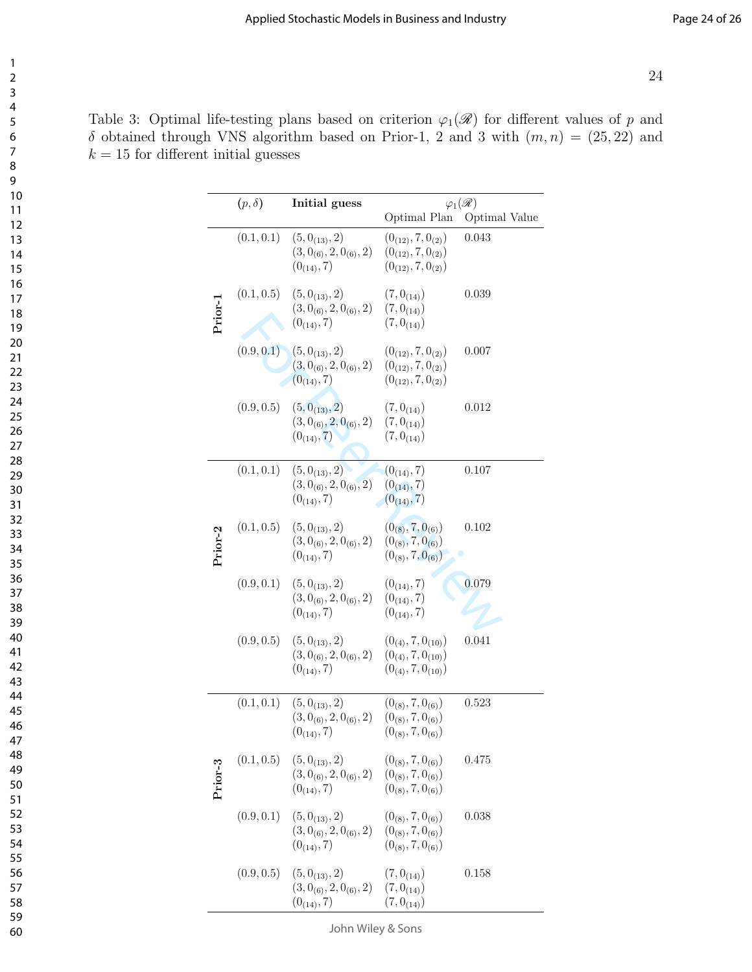Table 3: Optimal life-testing plans based on criterion  $\varphi_1(\mathscr{R})$  for different values of p and  $\delta$  obtained through VNS algorithm based on Prior-1, 2 and 3 with  $(m, n) = (25, 22)$  and  $k = 15$  for different initial guesses

|         | $(p,\delta)$ | Initial guess                                                          | $\varphi_1(\mathscr{R})$                                                         |               |
|---------|--------------|------------------------------------------------------------------------|----------------------------------------------------------------------------------|---------------|
|         |              |                                                                        | Optimal Plan                                                                     | Optimal Value |
|         | (0.1, 0.1)   | $(5, 0_{(13)}, 2)$<br>$(3, 0_{(6)}, 2, 0_{(6)}, 2)$<br>$(0_{(14)}, 7)$ | $(0_{(12)}, 7, 0_{(2)})$<br>$(0_{(12)}, 7, 0_{(2)})$<br>$(0_{(12)}, 7, 0_{(2)})$ | 0.043         |
| Prior-1 | (0.1, 0.5)   | $(5, 0_{(13)}, 2)$<br>$(3, 0_{(6)}, 2, 0_{(6)}, 2)$<br>$(0_{(14)}, 7)$ | $(7,0_{(14)})$<br>$(7, 0_{(14)})$<br>$(7, 0_{(14)})$                             | 0.039         |
|         | (0.9, 0.1)   | $(5, 0_{(13)}, 2)$<br>$(3, 0_{(6)}, 2, 0_{(6)}, 2)$<br>$(0_{(14)}, 7)$ | $(0_{(12)}, 7, 0_{(2)})$<br>$(0_{(12)}, 7, 0_{(2)})$<br>$(0_{(12)}, 7, 0_{(2)})$ | 0.007         |
|         | (0.9, 0.5)   | $(5, 0_{(13)}, 2)$<br>$(3,0_{(6)},2,0_{(6)},2)$<br>$(0_{(14)}, 7)$     | $(7, 0_{(14)})$<br>$(7, 0_{(14)})$<br>$(7,0_{(14)})$                             | 0.012         |
|         | (0.1, 0.1)   | $(5, 0_{(13)}, 2)$<br>$(3, 0_{(6)}, 2, 0_{(6)}, 2)$<br>$(0_{(14)}, 7)$ | $(0_{(14)}, 7)$<br>$(0_{(14)}, 7)$<br>$(0_{(14)}, 7)$                            | 0.107         |
| Prior-2 | (0.1, 0.5)   | $(5, 0_{(13)}, 2)$<br>$(3, 0_{(6)}, 2, 0_{(6)}, 2)$<br>$(0_{(14)}, 7)$ | $(0_{(8)}, 7, 0_{(6)})$<br>$(0_{(8)}, 7, 0_{(6)})$<br>$(0_{(8)}, 7, 0_{(6)})$    | 0.102         |
|         | (0.9, 0.1)   | $(5, 0_{(13)}, 2)$<br>$(3, 0_{(6)}, 2, 0_{(6)}, 2)$<br>$(0_{(14)}, 7)$ | $(0_{(14)}, 7)$<br>$(0_{(14)}, 7)$<br>$(0_{(14)}, 7)$                            | 0.079         |
|         | (0.9, 0.5)   | $(5, 0_{(13)}, 2)$<br>$(3, 0_{(6)}, 2, 0_{(6)}, 2)$<br>$(0_{(14)}, 7)$ | $(0_{(4)}, 7, 0_{(10)})$<br>$(0_{(4)}, 7, 0_{(10)})$<br>$(0_{(4)}, 7, 0_{(10)})$ | 0.041         |
|         | (0.1, 0.1)   | $(5, 0_{(13)}, 2)$<br>$(3, 0_{(6)}, 2, 0_{(6)}, 2)$<br>$(0_{(14)}, 7)$ | $(0_{(8)}, 7, 0_{(6)})$<br>$(0_{(8)}, 7, 0_{(6)})$<br>$(0_{(8)}, 7, 0_{(6)})$    | 0.523         |
| Prior-3 | (0.1, 0.5)   | $(5, 0_{(13)}, 2)$<br>$(3, 0_{(6)}, 2, 0_{(6)}, 2)$<br>$(0_{(14)}, 7)$ | $(0_{(8)}, 7, 0_{(6)})$<br>$(0_{(8)}, 7, 0_{(6)})$<br>$(0_{(8)}, 7, 0_{(6)})$    | 0.475         |
|         | (0.9, 0.1)   | $(5,0_{(13)},2)$<br>$(3, 0_{(6)}, 2, 0_{(6)}, 2)$<br>$(0_{(14)}, 7)$   | $(0_{(8)}, 7, 0_{(6)})$<br>$(0_{(8)}, 7, 0_{(6)})$<br>$(0_{(8)}, 7, 0_{(6)})$    | 0.038         |
|         | (0.9, 0.5)   | $(5, 0_{(13)}, 2)$<br>$(3, 0_{(6)}, 2, 0_{(6)}, 2)$<br>$(0_{(14)}, 7)$ | $(7,0_{(14)})$<br>$(7, 0_{(14)})$<br>$(7, 0_{(14)})$                             | 0.158         |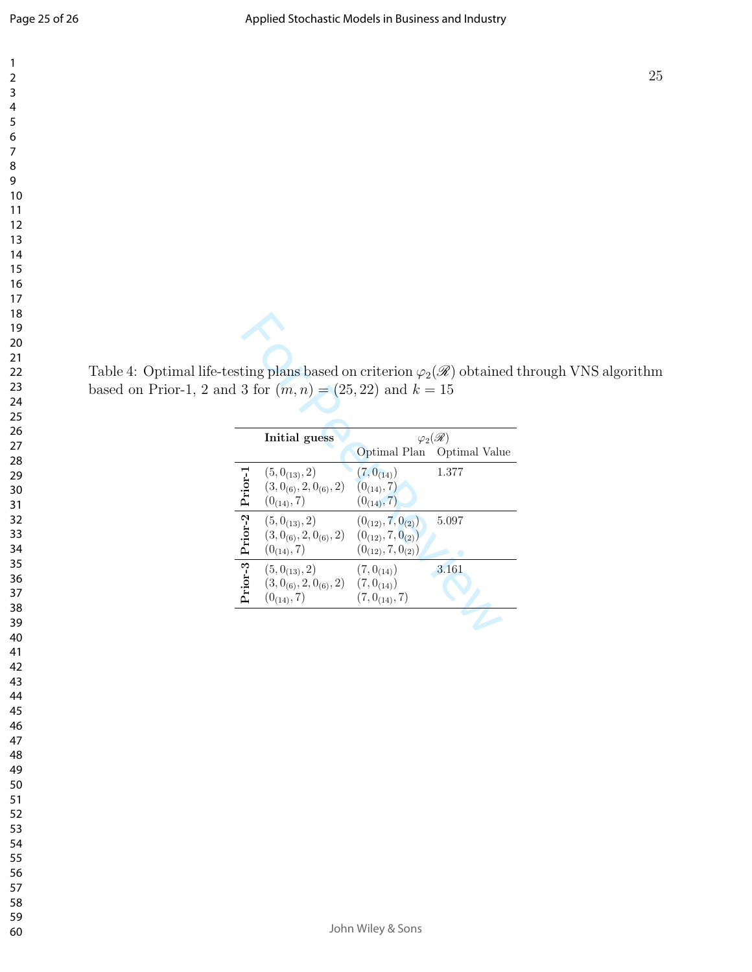Table 4: Optimal life-testing plans based on criterion  $\varphi_2(\mathscr{R})$  obtained through VNS algorithm based on Prior-1, 2 and 3 for  $(m, n) = (25, 22)$  and  $k = 15$ 

| sting plans based on criterion $\varphi_2(\mathscr{R})$ obtained t<br>$13 for (m, n) = (25, 22) and k = 15$ |                                               |                            |                            |  |
|-------------------------------------------------------------------------------------------------------------|-----------------------------------------------|----------------------------|----------------------------|--|
|                                                                                                             | Initial guess                                 | $\varphi_{2}(\mathscr{R})$ |                            |  |
|                                                                                                             |                                               |                            | Optimal Plan Optimal Value |  |
|                                                                                                             | $(5, 0_{(13)}, 2)$                            | $(7, 0_{(14)})$            | 1.377                      |  |
|                                                                                                             | $(3, 0_{(6)}, 2, 0_{(6)}, 2)$                 | $(0_{(14)}, 7)$            |                            |  |
|                                                                                                             | $(0_{(14)}, 7)$                               | $(0_{(14)}, 7)$            |                            |  |
|                                                                                                             | $(5, 0_{(13)}, 2)$                            | $(0_{(12)}, 7, 0_{(2)})$   | 5.097                      |  |
|                                                                                                             | $(3, 0_{(6)}, 2, 0_{(6)}, 2)$                 | $(0_{(12)}, 7, 0_{(2)})$   |                            |  |
|                                                                                                             | $(0_{(14)}, 7)$                               | $(0_{(12)}, 7, 0_{(2)})$   |                            |  |
| Prior-3 Prior-2 Prior-1                                                                                     | $(5, 0_{(13)}, 2)$                            | $(7, 0_{(14)})$            | 3.161                      |  |
|                                                                                                             | $(3, 0_{(6)}, 2, 0_{(6)}, 2)$ $(7, 0_{(14)})$ |                            |                            |  |
|                                                                                                             | $(0_{(14)}, 7)$                               | $(7, 0_{(14)}, 7)$         |                            |  |
|                                                                                                             |                                               |                            |                            |  |
|                                                                                                             |                                               |                            |                            |  |